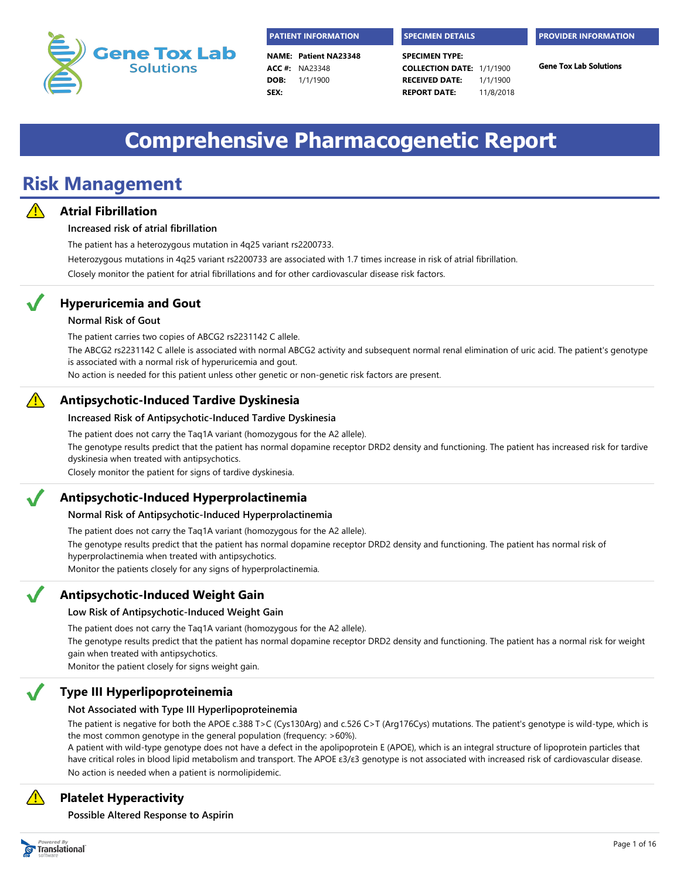# **Gene Tox Lab Solutions**

| PATIENT INFORMATION |  |  |  |
|---------------------|--|--|--|
|                     |  |  |  |

**NAME: Patient NA23348 DOB:** 1/1/1900 **SEX: ACC #:** NA23348

**COLLECTION DATE:** 1/1/1900

1/1/1900 11/8/2018

**SPECIMEN TYPE:**

**RECEIVED DATE: REPORT DATE:**

**SPECIMEN DETAILS PROVIDER INFORMATION**

**Gene Tox Lab Solutions**

## **Comprehensive Pharmacogenetic Report**

## **Risk Management**

## **Atrial Fibrillation**

#### **Increased risk of atrial fibrillation**

The patient has a heterozygous mutation in 4q25 variant rs2200733.

Heterozygous mutations in 4q25 variant rs2200733 are associated with 1.7 times increase in risk of atrial fibrillation.

Closely monitor the patient for atrial fibrillations and for other cardiovascular disease risk factors.

## **Hyperuricemia and Gout**

#### **Normal Risk of Gout**

The patient carries two copies of ABCG2 rs2231142 C allele.

The ABCG2 rs2231142 C allele is associated with normal ABCG2 activity and subsequent normal renal elimination of uric acid. The patient's genotype is associated with a normal risk of hyperuricemia and gout.

No action is needed for this patient unless other genetic or non-genetic risk factors are present.

## **Antipsychotic-Induced Tardive Dyskinesia**

#### **Increased Risk of Antipsychotic-Induced Tardive Dyskinesia**

The patient does not carry the Taq1A variant (homozygous for the A2 allele). The genotype results predict that the patient has normal dopamine receptor DRD2 density and functioning. The patient has increased risk for tardive dyskinesia when treated with antipsychotics.

Closely monitor the patient for signs of tardive dyskinesia.

### **Antipsychotic-Induced Hyperprolactinemia**

#### **Normal Risk of Antipsychotic-Induced Hyperprolactinemia**

The patient does not carry the Taq1A variant (homozygous for the A2 allele).

The genotype results predict that the patient has normal dopamine receptor DRD2 density and functioning. The patient has normal risk of

hyperprolactinemia when treated with antipsychotics.

Monitor the patients closely for any signs of hyperprolactinemia.

## **Antipsychotic-Induced Weight Gain**

#### **Low Risk of Antipsychotic-Induced Weight Gain**

The patient does not carry the Taq1A variant (homozygous for the A2 allele).

The genotype results predict that the patient has normal dopamine receptor DRD2 density and functioning. The patient has a normal risk for weight gain when treated with antipsychotics.

Monitor the patient closely for signs weight gain.

## **Type III Hyperlipoproteinemia**

#### **Not Associated with Type III Hyperlipoproteinemia**

The patient is negative for both the APOE c.388 T>C (Cys130Arg) and c.526 C>T (Arg176Cys) mutations. The patient's genotype is wild-type, which is the most common genotype in the general population (frequency: >60%).

No action is needed when a patient is normolipidemic. A patient with wild-type genotype does not have a defect in the apolipoprotein E (APOE), which is an integral structure of lipoprotein particles that have critical roles in blood lipid metabolism and transport. The APOE ε3/ε3 genotype is not associated with increased risk of cardiovascular disease.

## **Platelet Hyperactivity**

**Possible Altered Response to Aspirin**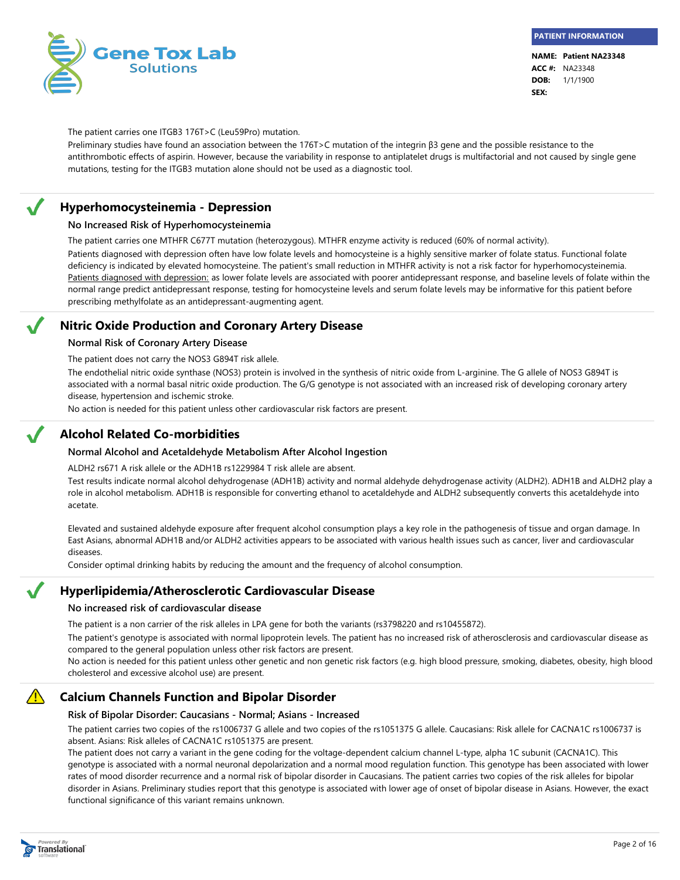

The patient carries one ITGB3 176T>C (Leu59Pro) mutation.

Preliminary studies have found an association between the 176T>C mutation of the integrin β3 gene and the possible resistance to the antithrombotic effects of aspirin. However, because the variability in response to antiplatelet drugs is multifactorial and not caused by single gene mutations, testing for the ITGB3 mutation alone should not be used as a diagnostic tool.

#### **Hyperhomocysteinemia - Depression**

#### **No Increased Risk of Hyperhomocysteinemia**

The patient carries one MTHFR C677T mutation (heterozygous). MTHFR enzyme activity is reduced (60% of normal activity).

Patients diagnosed with depression: as lower folate levels are associated with poorer antidepressant response, and baseline levels of folate within the normal range predict antidepressant response, testing for homocysteine levels and serum folate levels may be informative for this patient before prescribing methylfolate as an antidepressant-augmenting agent. Patients diagnosed with depression often have low folate levels and homocysteine is a highly sensitive marker of folate status. Functional folate deficiency is indicated by elevated homocysteine. The patient's small reduction in MTHFR activity is not a risk factor for hyperhomocysteinemia.

#### **Nitric Oxide Production and Coronary Artery Disease**

#### **Normal Risk of Coronary Artery Disease**

The patient does not carry the NOS3 G894T risk allele.

The endothelial nitric oxide synthase (NOS3) protein is involved in the synthesis of nitric oxide from L-arginine. The G allele of NOS3 G894T is associated with a normal basal nitric oxide production. The G/G genotype is not associated with an increased risk of developing coronary artery disease, hypertension and ischemic stroke.

No action is needed for this patient unless other cardiovascular risk factors are present.

### **Alcohol Related Co-morbidities**

#### **Normal Alcohol and Acetaldehyde Metabolism After Alcohol Ingestion**

ALDH2 rs671 A risk allele or the ADH1B rs1229984 T risk allele are absent.

Test results indicate normal alcohol dehydrogenase (ADH1B) activity and normal aldehyde dehydrogenase activity (ALDH2). ADH1B and ALDH2 play a role in alcohol metabolism. ADH1B is responsible for converting ethanol to acetaldehyde and ALDH2 subsequently converts this acetaldehyde into acetate.

Elevated and sustained aldehyde exposure after frequent alcohol consumption plays a key role in the pathogenesis of tissue and organ damage. In East Asians, abnormal ADH1B and/or ALDH2 activities appears to be associated with various health issues such as cancer, liver and cardiovascular diseases.

Consider optimal drinking habits by reducing the amount and the frequency of alcohol consumption.

#### **Hyperlipidemia/Atherosclerotic Cardiovascular Disease**

#### **No increased risk of cardiovascular disease**

The patient is a non carrier of the risk alleles in LPA gene for both the variants (rs3798220 and rs10455872).

The patient's genotype is associated with normal lipoprotein levels. The patient has no increased risk of atherosclerosis and cardiovascular disease as compared to the general population unless other risk factors are present.

No action is needed for this patient unless other genetic and non genetic risk factors (e.g. high blood pressure, smoking, diabetes, obesity, high blood cholesterol and excessive alcohol use) are present.

#### ⚠ **Calcium Channels Function and Bipolar Disorder**

#### **Risk of Bipolar Disorder: Caucasians - Normal; Asians - Increased**

The patient carries two copies of the rs1006737 G allele and two copies of the rs1051375 G allele. Caucasians: Risk allele for CACNA1C rs1006737 is absent. Asians: Risk alleles of CACNA1C rs1051375 are present.

The patient does not carry a variant in the gene coding for the voltage-dependent calcium channel L-type, alpha 1C subunit (CACNA1C). This genotype is associated with a normal neuronal depolarization and a normal mood regulation function. This genotype has been associated with lower rates of mood disorder recurrence and a normal risk of bipolar disorder in Caucasians. The patient carries two copies of the risk alleles for bipolar disorder in Asians. Preliminary studies report that this genotype is associated with lower age of onset of bipolar disease in Asians. However, the exact functional significance of this variant remains unknown.

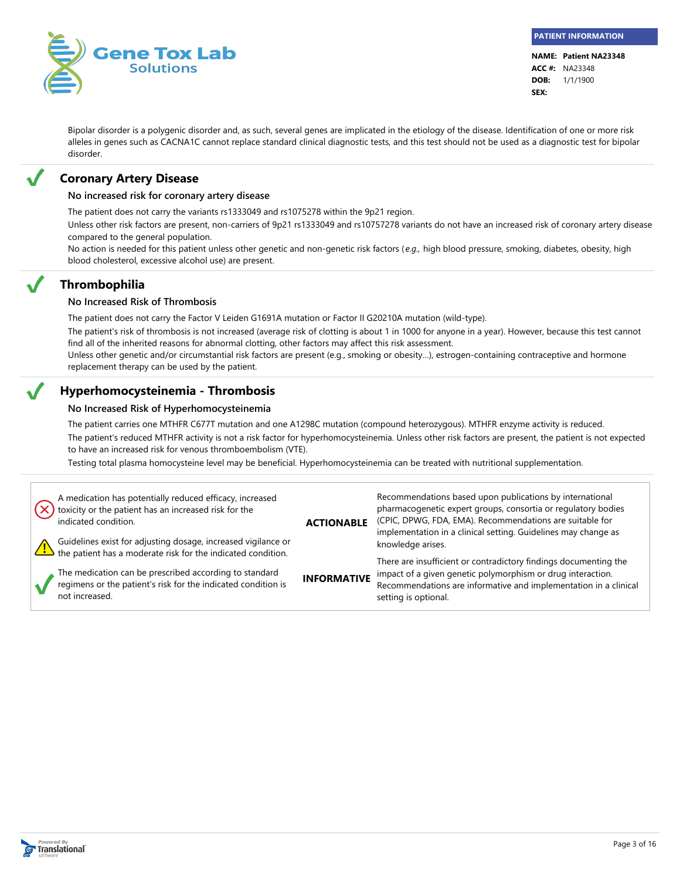

Bipolar disorder is a polygenic disorder and, as such, several genes are implicated in the etiology of the disease. Identification of one or more risk alleles in genes such as CACNA1C cannot replace standard clinical diagnostic tests, and this test should not be used as a diagnostic test for bipolar disorder.

### **Coronary Artery Disease**

#### **No increased risk for coronary artery disease**

The patient does not carry the variants rs1333049 and rs1075278 within the 9p21 region.

Unless other risk factors are present, non-carriers of 9p21 rs1333049 and rs10757278 variants do not have an increased risk of coronary artery disease compared to the general population.

No action is needed for this patient unless other genetic and non-genetic risk factors (*e.g.,* high blood pressure, smoking, diabetes, obesity, high blood cholesterol, excessive alcohol use) are present.

## **Thrombophilia**

#### **No Increased Risk of Thrombosis**

The patient does not carry the Factor V Leiden G1691A mutation or Factor II G20210A mutation (wild-type).

The patient's risk of thrombosis is not increased (average risk of clotting is about 1 in 1000 for anyone in a year). However, because this test cannot find all of the inherited reasons for abnormal clotting, other factors may affect this risk assessment.

Unless other genetic and/or circumstantial risk factors are present (e.g., smoking or obesity…), estrogen-containing contraceptive and hormone replacement therapy can be used by the patient.

### **Hyperhomocysteinemia - Thrombosis**

#### **No Increased Risk of Hyperhomocysteinemia**

The patient carries one MTHFR C677T mutation and one A1298C mutation (compound heterozygous). MTHFR enzyme activity is reduced. The patient's reduced MTHFR activity is not a risk factor for hyperhomocysteinemia. Unless other risk factors are present, the patient is not expected to have an increased risk for venous thromboembolism (VTE).

Testing total plasma homocysteine level may be beneficial. Hyperhomocysteinemia can be treated with nutritional supplementation.

| A medication has potentially reduced efficacy, increased<br>toxicity or the patient has an increased risk for the<br>indicated condition.<br>Guidelines exist for adjusting dosage, increased vigilance or the patient has a moderate risk for the indicated condition. | <b>ACTIONABLE</b>  | Recommendations based upon publications by international<br>pharmacogenetic expert groups, consortia or regulatory bodies<br>(CPIC, DPWG, FDA, EMA). Recommendations are suitable for<br>implementation in a clinical setting. Guidelines may change as<br>knowledge arises. |
|-------------------------------------------------------------------------------------------------------------------------------------------------------------------------------------------------------------------------------------------------------------------------|--------------------|------------------------------------------------------------------------------------------------------------------------------------------------------------------------------------------------------------------------------------------------------------------------------|
| The medication can be prescribed according to standard<br>regimens or the patient's risk for the indicated condition is<br>not increased.                                                                                                                               | <b>INFORMATIVE</b> | There are insufficient or contradictory findings documenting the<br>impact of a given genetic polymorphism or drug interaction.<br>Recommendations are informative and implementation in a clinical<br>setting is optional.                                                  |

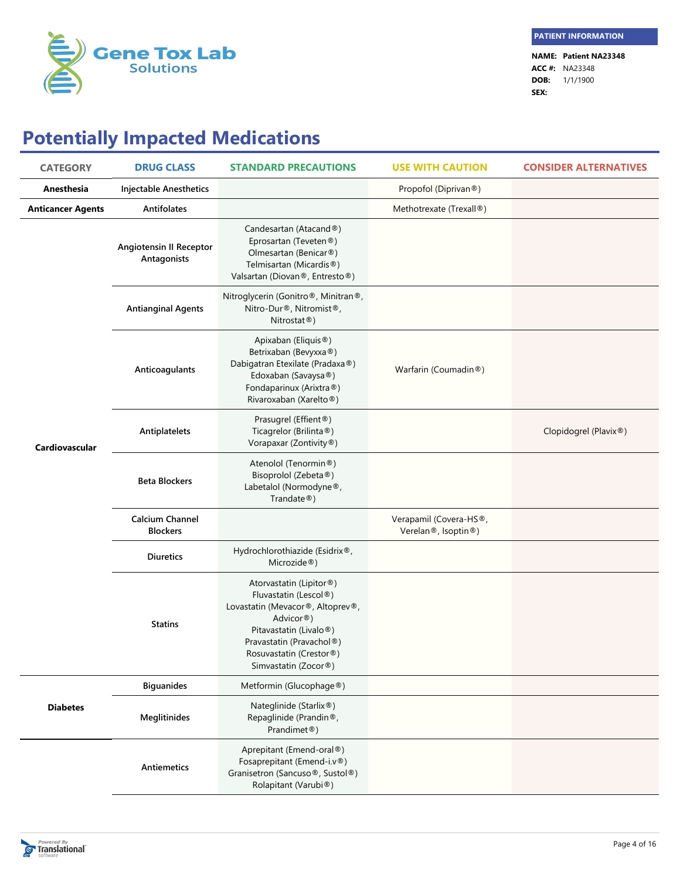

## **Potentially Impacted Medications**

| <b>DRUG CLASS</b><br><b>CATEGORY</b> |                                           | <b>STANDARD PRECAUTIONS</b>                                                                                                                                                                                | <b>USE WITH CAUTION</b>                       | <b>CONSIDER ALTERNATIVES</b> |
|--------------------------------------|-------------------------------------------|------------------------------------------------------------------------------------------------------------------------------------------------------------------------------------------------------------|-----------------------------------------------|------------------------------|
| Anesthesia                           | <b>Injectable Anesthetics</b>             |                                                                                                                                                                                                            | Propofol (Diprivan®)                          |                              |
| <b>Anticancer Agents</b>             | <b>Antifolates</b>                        |                                                                                                                                                                                                            | Methotrexate (Trexall®)                       |                              |
|                                      | Angiotensin II Receptor<br>Antagonists    | Candesartan (Atacand®)<br>Eprosartan (Teveten®)<br>Olmesartan (Benicar®)<br>Telmisartan (Micardis®)<br>Valsartan (Diovan®, Entresto®)                                                                      |                                               |                              |
|                                      | <b>Antianginal Agents</b>                 | Nitroglycerin (Gonitro®, Minitran®,<br>Nitro-Dur®, Nitromist®,<br>Nitrostat <sup>®</sup> )                                                                                                                 |                                               |                              |
|                                      | Anticoagulants                            | Apixaban (Eliquis <sup>®</sup> )<br>Betrixaban (Bevyxxa®)<br>Dabigatran Etexilate (Pradaxa®)<br>Edoxaban (Savaysa®)<br>Fondaparinux (Arixtra®)<br>Rivaroxaban (Xarelto®)                                   | Warfarin (Coumadin®)                          |                              |
| Cardiovascular                       | Antiplatelets                             | Prasugrel (Effient®)<br>Ticagrelor (Brilinta®)<br>Vorapaxar (Zontivity®)                                                                                                                                   |                                               | Clopidogrel (Plavix®)        |
|                                      | <b>Beta Blockers</b>                      | Atenolol (Tenormin®)<br>Bisoprolol (Zebeta®)<br>Labetalol (Normodyne®,<br>Trandate $\circledast$ )                                                                                                         |                                               |                              |
|                                      | <b>Calcium Channel</b><br><b>Blockers</b> |                                                                                                                                                                                                            | Verapamil (Covera-HS®,<br>Verelan®, Isoptin®) |                              |
|                                      | <b>Diuretics</b>                          | Hydrochlorothiazide (Esidrix®,<br>Microzide®)                                                                                                                                                              |                                               |                              |
|                                      | <b>Statins</b>                            | Atorvastatin (Lipitor®)<br>Fluvastatin (Lescol®)<br>Lovastatin (Mevacor®, Altoprev®,<br>Advicor®)<br>Pitavastatin (Livalo®)<br>Pravastatin (Pravachol®)<br>Rosuvastatin (Crestor®)<br>Simvastatin (Zocor®) |                                               |                              |
|                                      | <b>Biguanides</b>                         | Metformin (Glucophage®)                                                                                                                                                                                    |                                               |                              |
| <b>Diabetes</b>                      | <b>Meglitinides</b>                       | Nateglinide (Starlix®)<br>Repaglinide (Prandin®,<br>Prandimet <sup>®</sup> )                                                                                                                               |                                               |                              |
|                                      | Antiemetics                               | Aprepitant (Emend-oral®)<br>Fosaprepitant (Emend-i.v®)<br>Granisetron (Sancuso®, Sustol®)<br>Rolapitant (Varubi®)                                                                                          |                                               |                              |

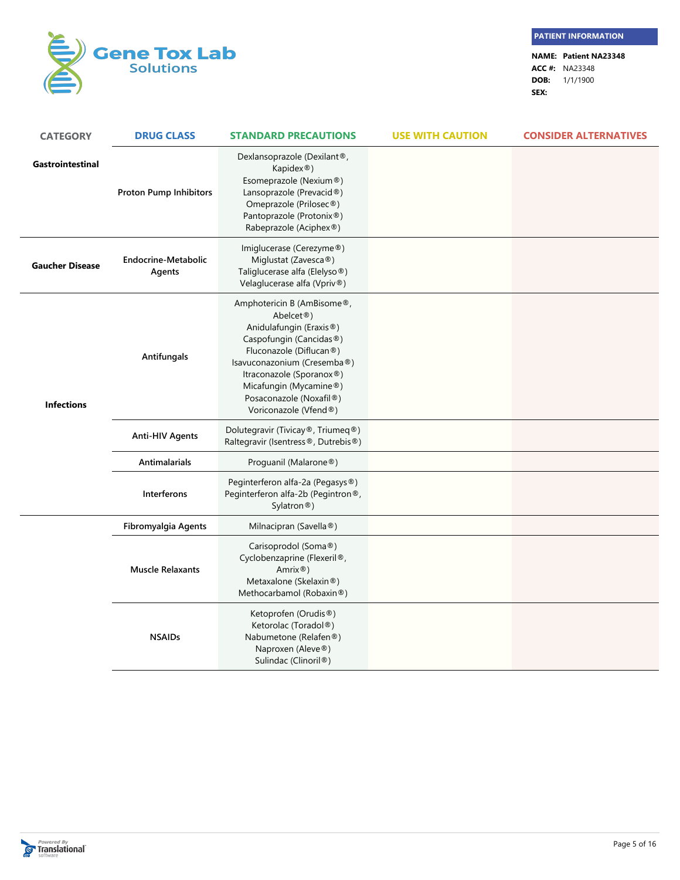

| <b>CATEGORY</b>        | <b>DRUG CLASS</b>             | <b>STANDARD PRECAUTIONS</b>                                                                                                                                                                                                                                                    | <b>USE WITH CAUTION</b> | <b>CONSIDER ALTERNATIVES</b> |
|------------------------|-------------------------------|--------------------------------------------------------------------------------------------------------------------------------------------------------------------------------------------------------------------------------------------------------------------------------|-------------------------|------------------------------|
| Gastrointestinal       | <b>Proton Pump Inhibitors</b> | Dexlansoprazole (Dexilant®,<br>Kapidex <sup>®</sup> )<br>Esomeprazole (Nexium®)<br>Lansoprazole (Prevacid®)<br>Omeprazole (Prilosec®)<br>Pantoprazole (Protonix®)<br>Rabeprazole (Aciphex®)                                                                                    |                         |                              |
| <b>Gaucher Disease</b> | Endocrine-Metabolic<br>Agents | Imiglucerase (Cerezyme®)<br>Miglustat (Zavesca®)<br>Taliglucerase alfa (Elelyso®)<br>Velaglucerase alfa (Vpriv®)                                                                                                                                                               |                         |                              |
| <b>Infections</b>      | Antifungals                   | Amphotericin B (AmBisome®,<br>Abelcet <sup>®</sup> )<br>Anidulafungin (Eraxis®)<br>Caspofungin (Cancidas®)<br>Fluconazole (Diflucan®)<br>Isavuconazonium (Cresemba®)<br>Itraconazole (Sporanox®)<br>Micafungin (Mycamine®)<br>Posaconazole (Noxafil®)<br>Voriconazole (Vfend®) |                         |                              |
|                        | <b>Anti-HIV Agents</b>        | Dolutegravir (Tivicay®, Triumeq®)<br>Raltegravir (Isentress®, Dutrebis®)                                                                                                                                                                                                       |                         |                              |
|                        | <b>Antimalarials</b>          | Proguanil (Malarone®)                                                                                                                                                                                                                                                          |                         |                              |
|                        | <b>Interferons</b>            | Peginterferon alfa-2a (Pegasys®)<br>Peginterferon alfa-2b (Pegintron®,<br>Sylatron <sup>®</sup> )                                                                                                                                                                              |                         |                              |
|                        | Fibromyalgia Agents           | Milnacipran (Savella®)                                                                                                                                                                                                                                                         |                         |                              |
|                        | <b>Muscle Relaxants</b>       | Carisoprodol (Soma®)<br>Cyclobenzaprine (Flexeril®,<br>Amrix <sup>®</sup> )<br>Metaxalone (Skelaxin®)<br>Methocarbamol (Robaxin®)                                                                                                                                              |                         |                              |
|                        | <b>NSAIDs</b>                 | Ketoprofen (Orudis®)<br>Ketorolac (Toradol®)<br>Nabumetone (Relafen®)<br>Naproxen (Aleve®)<br>Sulindac (Clinoril®)                                                                                                                                                             |                         |                              |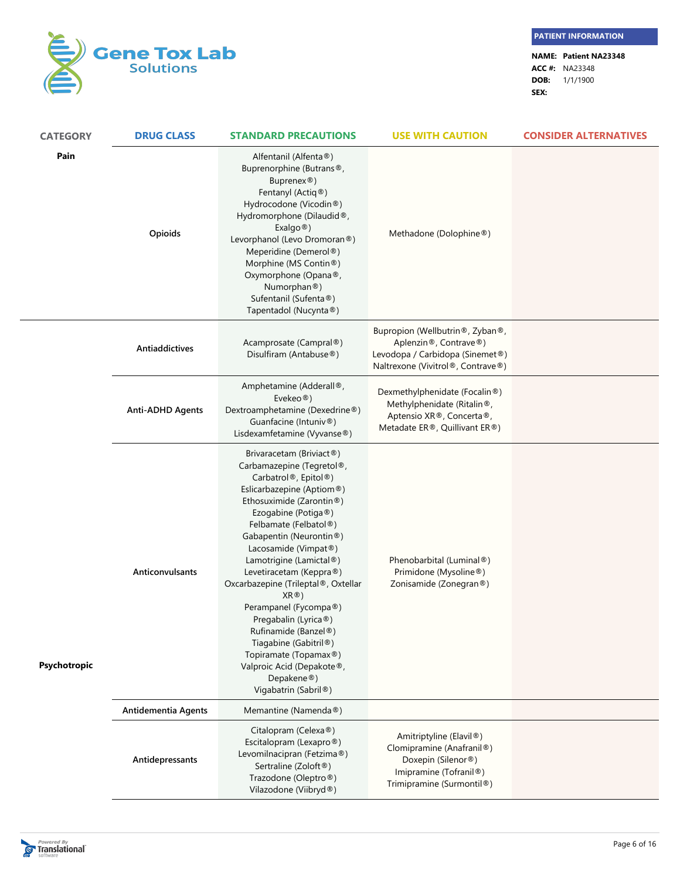**PATIENT INFORMATION**



| <b>CATEGORY</b> | <b>DRUG CLASS</b>       | <b>STANDARD PRECAUTIONS</b>                                                                                                                                                                                                                                                                                                                                                                                                                                                                                                                 | <b>USE WITH CAUTION</b>                                                                                                           | <b>CONSIDER ALTERNATIVES</b> |
|-----------------|-------------------------|---------------------------------------------------------------------------------------------------------------------------------------------------------------------------------------------------------------------------------------------------------------------------------------------------------------------------------------------------------------------------------------------------------------------------------------------------------------------------------------------------------------------------------------------|-----------------------------------------------------------------------------------------------------------------------------------|------------------------------|
| Pain            | Opioids                 | Alfentanil (Alfenta®)<br>Buprenorphine (Butrans®,<br>Buprenex <sup>®</sup> )<br>Fentanyl (Actiq®)<br>Hydrocodone (Vicodin®)<br>Hydromorphone (Dilaudid®,<br>Exalgo $@$ )<br>Levorphanol (Levo Dromoran®)<br>Meperidine (Demerol®)<br>Morphine (MS Contin®)<br>Oxymorphone (Opana®,<br>Numorphan <sup>®</sup> )<br>Sufentanil (Sufenta®)<br>Tapentadol (Nucynta®)                                                                                                                                                                            | Methadone (Dolophine®)                                                                                                            |                              |
|                 | Antiaddictives          | Acamprosate (Campral®)<br>Disulfiram (Antabuse®)                                                                                                                                                                                                                                                                                                                                                                                                                                                                                            | Bupropion (Wellbutrin®, Zyban®,<br>Aplenzin®, Contrave®)<br>Levodopa / Carbidopa (Sinemet®)<br>Naltrexone (Vivitrol®, Contrave®)  |                              |
|                 | <b>Anti-ADHD Agents</b> | Amphetamine (Adderall®,<br>Evekeo®)<br>Dextroamphetamine (Dexedrine®)<br>Guanfacine (Intuniv®)<br>Lisdexamfetamine (Vyvanse®)                                                                                                                                                                                                                                                                                                                                                                                                               | Dexmethylphenidate (Focalin®)<br>Methylphenidate (Ritalin®,<br>Aptensio XR®, Concerta®,<br>Metadate ER®, Quillivant ER®)          |                              |
| Psychotropic    | Anticonvulsants         | Brivaracetam (Briviact®)<br>Carbamazepine (Tegretol®,<br>Carbatrol®, Epitol®)<br>Eslicarbazepine (Aptiom®)<br>Ethosuximide (Zarontin®)<br>Ezogabine (Potiga®)<br>Felbamate (Felbatol®)<br>Gabapentin (Neurontin®)<br>Lacosamide (Vimpat®)<br>Lamotrigine (Lamictal®)<br>Levetiracetam (Keppra®)<br>Oxcarbazepine (Trileptal®, Oxtellar<br>XR@<br>Perampanel (Fycompa®)<br>Pregabalin (Lyrica®)<br>Rufinamide (Banzel®)<br>Tiagabine (Gabitril®)<br>Topiramate (Topamax®)<br>Valproic Acid (Depakote®,<br>Depakene®)<br>Vigabatrin (Sabril®) | Phenobarbital (Luminal®)<br>Primidone (Mysoline®)<br>Zonisamide (Zonegran®)                                                       |                              |
|                 | Antidementia Agents     | Memantine (Namenda®)                                                                                                                                                                                                                                                                                                                                                                                                                                                                                                                        |                                                                                                                                   |                              |
|                 | Antidepressants         | Citalopram (Celexa®)<br>Escitalopram (Lexapro®)<br>Levomilnacipran (Fetzima®)<br>Sertraline (Zoloft®)<br>Trazodone (Oleptro®)<br>Vilazodone (Viibryd®)                                                                                                                                                                                                                                                                                                                                                                                      | Amitriptyline (Elavil®)<br>Clomipramine (Anafranil®)<br>Doxepin (Silenor®)<br>Imipramine (Tofranil®)<br>Trimipramine (Surmontil®) |                              |

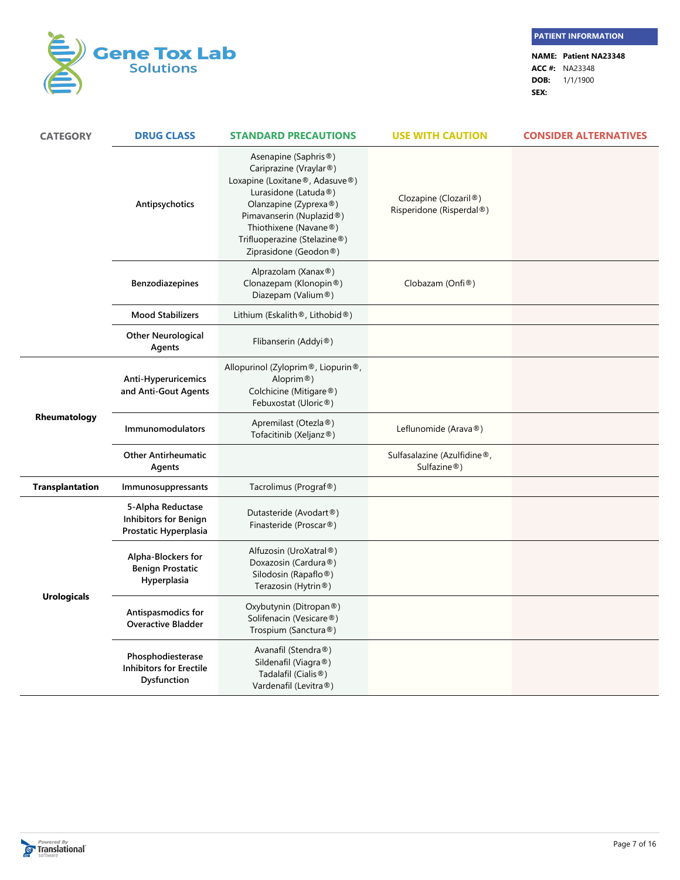**Cene Tox Lab** 

| <b>CATEGORY</b>        | <b>DRUG CLASS</b>                                                          | <b>STANDARD PRECAUTIONS</b>                                                                                                                                                                                                                                  | <b>USE WITH CAUTION</b>                                        | <b>CONSIDER ALTERNATIVES</b> |
|------------------------|----------------------------------------------------------------------------|--------------------------------------------------------------------------------------------------------------------------------------------------------------------------------------------------------------------------------------------------------------|----------------------------------------------------------------|------------------------------|
|                        | Antipsychotics                                                             | Asenapine (Saphris <sup>®</sup> )<br>Cariprazine (Vraylar®)<br>Loxapine (Loxitane®, Adasuve®)<br>Lurasidone (Latuda®)<br>Olanzapine (Zyprexa®)<br>Pimavanserin (Nuplazid®)<br>Thiothixene (Navane®)<br>Trifluoperazine (Stelazine®)<br>Ziprasidone (Geodon®) | Clozapine (Clozaril <sup>®</sup> )<br>Risperidone (Risperdal®) |                              |
|                        | Benzodiazepines                                                            | Alprazolam (Xanax®)<br>Clonazepam (Klonopin®)<br>Diazepam (Valium®)                                                                                                                                                                                          | Clobazam (Onfi <sup>®</sup> )                                  |                              |
|                        | <b>Mood Stabilizers</b>                                                    | Lithium (Eskalith®, Lithobid®)                                                                                                                                                                                                                               |                                                                |                              |
|                        | <b>Other Neurological</b><br>Agents                                        | Flibanserin (Addyi®)                                                                                                                                                                                                                                         |                                                                |                              |
|                        | Anti-Hyperuricemics<br>and Anti-Gout Agents                                | Allopurinol (Zyloprim®, Liopurin®,<br>Aloprim®)<br>Colchicine (Mitigare®)<br>Febuxostat (Uloric®)                                                                                                                                                            |                                                                |                              |
| Rheumatology           | Immunomodulators                                                           | Apremilast (Otezla®)<br>Tofacitinib (Xeljanz®)                                                                                                                                                                                                               | Leflunomide (Arava®)                                           |                              |
|                        | <b>Other Antirheumatic</b><br>Agents                                       |                                                                                                                                                                                                                                                              | Sulfasalazine (Azulfidine®,<br>Sulfazine <sup>®</sup> )        |                              |
| <b>Transplantation</b> | Immunosuppressants                                                         | Tacrolimus (Prograf®)                                                                                                                                                                                                                                        |                                                                |                              |
|                        | 5-Alpha Reductase<br><b>Inhibitors for Benign</b><br>Prostatic Hyperplasia | Dutasteride (Avodart®)<br>Finasteride (Proscar®)                                                                                                                                                                                                             |                                                                |                              |
|                        | Alpha-Blockers for<br><b>Benign Prostatic</b><br>Hyperplasia               | Alfuzosin (UroXatral®)<br>Doxazosin (Cardura®)<br>Silodosin (Rapaflo®)<br>Terazosin (Hytrin®)                                                                                                                                                                |                                                                |                              |
| <b>Urologicals</b>     | Antispasmodics for<br><b>Overactive Bladder</b>                            | Oxybutynin (Ditropan®)<br>Solifenacin (Vesicare®)<br>Trospium (Sanctura®)                                                                                                                                                                                    |                                                                |                              |
|                        | Phosphodiesterase<br><b>Inhibitors for Erectile</b><br><b>Dysfunction</b>  | Avanafil (Stendra®)<br>Sildenafil (Viagra®)<br>Tadalafil (Cialis <sup>®</sup> )<br>Vardenafil (Levitra®)                                                                                                                                                     |                                                                |                              |

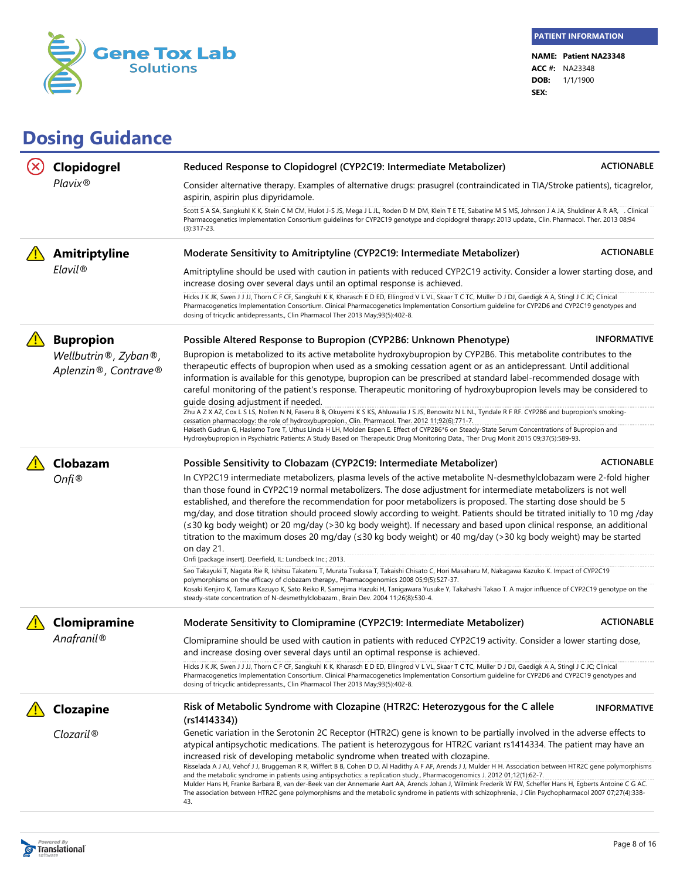

## **Dosing Guidance**

| $(\mathsf{x})$ | Clopidogrel                                  | Reduced Response to Clopidogrel (CYP2C19: Intermediate Metabolizer)                                                                                                                                                                                                                                                                                                                                                                                                                                                                                                                                                                                                                                                                                                                                                                                                                                                                                                                                                                                                                                                                                                                                                                                                                                         | <b>ACTIONABLE</b>  |
|----------------|----------------------------------------------|-------------------------------------------------------------------------------------------------------------------------------------------------------------------------------------------------------------------------------------------------------------------------------------------------------------------------------------------------------------------------------------------------------------------------------------------------------------------------------------------------------------------------------------------------------------------------------------------------------------------------------------------------------------------------------------------------------------------------------------------------------------------------------------------------------------------------------------------------------------------------------------------------------------------------------------------------------------------------------------------------------------------------------------------------------------------------------------------------------------------------------------------------------------------------------------------------------------------------------------------------------------------------------------------------------------|--------------------|
|                | $Plavix$ <sup>®</sup>                        | Consider alternative therapy. Examples of alternative drugs: prasugrel (contraindicated in TIA/Stroke patients), ticagrelor,<br>aspirin, aspirin plus dipyridamole.                                                                                                                                                                                                                                                                                                                                                                                                                                                                                                                                                                                                                                                                                                                                                                                                                                                                                                                                                                                                                                                                                                                                         |                    |
|                |                                              | Scott S A SA, Sangkuhl K K, Stein C M CM, Hulot J-S JS, Mega J L JL, Roden D M DM, Klein T E TE, Sabatine M S MS, Johnson J A JA, Shuldiner A R AR, . Clinical<br>Pharmacogenetics Implementation Consortium guidelines for CYP2C19 genotype and clopidogrel therapy: 2013 update., Clin. Pharmacol. Ther. 2013 08;94<br>$(3):317-23.$                                                                                                                                                                                                                                                                                                                                                                                                                                                                                                                                                                                                                                                                                                                                                                                                                                                                                                                                                                      |                    |
|                | <b>Amitriptyline</b>                         | Moderate Sensitivity to Amitriptyline (CYP2C19: Intermediate Metabolizer)                                                                                                                                                                                                                                                                                                                                                                                                                                                                                                                                                                                                                                                                                                                                                                                                                                                                                                                                                                                                                                                                                                                                                                                                                                   | <b>ACTIONABLE</b>  |
|                | Elavil <sup>®</sup>                          | Amitriptyline should be used with caution in patients with reduced CYP2C19 activity. Consider a lower starting dose, and<br>increase dosing over several days until an optimal response is achieved.                                                                                                                                                                                                                                                                                                                                                                                                                                                                                                                                                                                                                                                                                                                                                                                                                                                                                                                                                                                                                                                                                                        |                    |
|                |                                              | Hicks J K JK, Swen J J JJ, Thorn C F CF, Sangkuhl K K, Kharasch E D ED, Ellingrod V L VL, Skaar T C TC, Müller D J DJ, Gaedigk A A, Stingl J C JC; Clinical<br>Pharmacogenetics Implementation Consortium. Clinical Pharmacogenetics Implementation Consortium guideline for CYP2D6 and CYP2C19 genotypes and<br>dosing of tricyclic antidepressants., Clin Pharmacol Ther 2013 May;93(5):402-8.                                                                                                                                                                                                                                                                                                                                                                                                                                                                                                                                                                                                                                                                                                                                                                                                                                                                                                            |                    |
| $\sqrt{1}$     | <b>Bupropion</b>                             | Possible Altered Response to Bupropion (CYP2B6: Unknown Phenotype)                                                                                                                                                                                                                                                                                                                                                                                                                                                                                                                                                                                                                                                                                                                                                                                                                                                                                                                                                                                                                                                                                                                                                                                                                                          | <b>INFORMATIVE</b> |
|                | Wellbutrin®, Zyban®,<br>Aplenzin®, Contrave® | Bupropion is metabolized to its active metabolite hydroxybupropion by CYP2B6. This metabolite contributes to the<br>therapeutic effects of bupropion when used as a smoking cessation agent or as an antidepressant. Until additional<br>information is available for this genotype, bupropion can be prescribed at standard label-recommended dosage with<br>careful monitoring of the patient's response. Therapeutic monitoring of hydroxybupropion levels may be considered to<br>guide dosing adjustment if needed.<br>Zhu A Z X AZ, Cox L S LS, Nollen N N, Faseru B B, Okuyemi K S KS, Ahluwalia J S JS, Benowitz N L NL, Tyndale R F RF. CYP2B6 and bupropion's smoking-<br>cessation pharmacology: the role of hydroxybupropion., Clin. Pharmacol. Ther. 2012 11;92(6):771-7.<br>Høiseth Gudrun G, Haslemo Tore T, Uthus Linda H LH, Molden Espen E. Effect of CYP2B6*6 on Steady-State Serum Concentrations of Bupropion and<br>Hydroxybupropion in Psychiatric Patients: A Study Based on Therapeutic Drug Monitoring Data., Ther Drug Monit 2015 09;37(5):589-93.                                                                                                                                                                                                                               |                    |
|                | Clobazam                                     | Possible Sensitivity to Clobazam (CYP2C19: Intermediate Metabolizer)                                                                                                                                                                                                                                                                                                                                                                                                                                                                                                                                                                                                                                                                                                                                                                                                                                                                                                                                                                                                                                                                                                                                                                                                                                        | <b>ACTIONABLE</b>  |
|                | Onfi $@$                                     | In CYP2C19 intermediate metabolizers, plasma levels of the active metabolite N-desmethylclobazam were 2-fold higher<br>than those found in CYP2C19 normal metabolizers. The dose adjustment for intermediate metabolizers is not well<br>established, and therefore the recommendation for poor metabolizers is proposed. The starting dose should be 5<br>mg/day, and dose titration should proceed slowly according to weight. Patients should be titrated initially to 10 mg /day<br>(≤30 kg body weight) or 20 mg/day (>30 kg body weight). If necessary and based upon clinical response, an additional<br>titration to the maximum doses 20 mg/day (≤30 kg body weight) or 40 mg/day (>30 kg body weight) may be started<br>on day 21.<br>Onfi [package insert]. Deerfield, IL: Lundbeck Inc.; 2013.<br>Seo Takayuki T, Nagata Rie R, Ishitsu Takateru T, Murata Tsukasa T, Takaishi Chisato C, Hori Masaharu M, Nakagawa Kazuko K. Impact of CYP2C19<br>polymorphisms on the efficacy of clobazam therapy., Pharmacogenomics 2008 05;9(5):527-37.<br>Kosaki Kenjiro K, Tamura Kazuyo K, Sato Reiko R, Samejima Hazuki H, Tanigawara Yusuke Y, Takahashi Takao T. A major influence of CYP2C19 genotype on the<br>steady-state concentration of N-desmethylclobazam., Brain Dev. 2004 11;26(8):530-4. |                    |
|                | Clomipramine                                 | Moderate Sensitivity to Clomipramine (CYP2C19: Intermediate Metabolizer)                                                                                                                                                                                                                                                                                                                                                                                                                                                                                                                                                                                                                                                                                                                                                                                                                                                                                                                                                                                                                                                                                                                                                                                                                                    | <b>ACTIONABLE</b>  |
|                | Anafranil®                                   | Clomipramine should be used with caution in patients with reduced CYP2C19 activity. Consider a lower starting dose,<br>and increase dosing over several days until an optimal response is achieved.                                                                                                                                                                                                                                                                                                                                                                                                                                                                                                                                                                                                                                                                                                                                                                                                                                                                                                                                                                                                                                                                                                         |                    |
|                |                                              | Hicks J K JK, Swen J J JJ, Thorn C F CF, Sangkuhl K K, Kharasch E D ED, Ellingrod V L VL, Skaar T C TC, Müller D J DJ, Gaedigk A A, Stingl J C JC; Clinical<br>Pharmacogenetics Implementation Consortium. Clinical Pharmacogenetics Implementation Consortium guideline for CYP2D6 and CYP2C19 genotypes and<br>dosing of tricyclic antidepressants., Clin Pharmacol Ther 2013 May;93(5):402-8.                                                                                                                                                                                                                                                                                                                                                                                                                                                                                                                                                                                                                                                                                                                                                                                                                                                                                                            |                    |
|                | Clozapine                                    | Risk of Metabolic Syndrome with Clozapine (HTR2C: Heterozygous for the C allele<br>(rs1414334))                                                                                                                                                                                                                                                                                                                                                                                                                                                                                                                                                                                                                                                                                                                                                                                                                                                                                                                                                                                                                                                                                                                                                                                                             | <b>INFORMATIVE</b> |
|                | Clozaril <sup>®</sup>                        | Genetic variation in the Serotonin 2C Receptor (HTR2C) gene is known to be partially involved in the adverse effects to                                                                                                                                                                                                                                                                                                                                                                                                                                                                                                                                                                                                                                                                                                                                                                                                                                                                                                                                                                                                                                                                                                                                                                                     |                    |
|                |                                              | atypical antipsychotic medications. The patient is heterozygous for HTR2C variant rs1414334. The patient may have an                                                                                                                                                                                                                                                                                                                                                                                                                                                                                                                                                                                                                                                                                                                                                                                                                                                                                                                                                                                                                                                                                                                                                                                        |                    |
|                |                                              | increased risk of developing metabolic syndrome when treated with clozapine.<br>Risselada A J AJ, Vehof J J, Bruggeman R R, Wilffert B B, Cohen D D, Al Hadithy A F AF, Arends J J, Mulder H H. Association between HTR2C gene polymorphisms<br>and the metabolic syndrome in patients using antipsychotics: a replication study., Pharmacogenomics J. 2012 01;12(1):62-7.<br>Mulder Hans H, Franke Barbara B, van der-Beek van der Annemarie Aart AA, Arends Johan J, Wilmink Frederik W FW, Scheffer Hans H, Egberts Antoine C G AC.<br>The association between HTR2C gene polymorphisms and the metabolic syndrome in patients with schizophrenia., J Clin Psychopharmacol 2007 07;27(4):338-<br>43.                                                                                                                                                                                                                                                                                                                                                                                                                                                                                                                                                                                                     |                    |

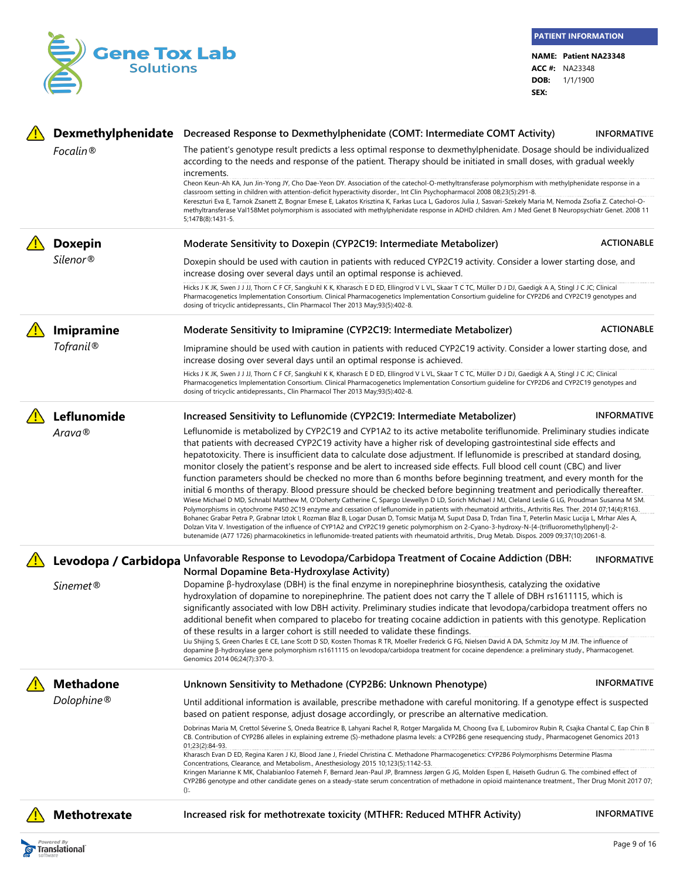**Sene Tox Lab**<br>Solutions

|            | Dexmethylphenidate   | Decreased Response to Dexmethylphenidate (COMT: Intermediate COMT Activity)                                                                                                                                                                                                                                                                                                                                                                                                                                                                                                                                                                                                                                                                                                                                                                                                                                                                                                                                                      | <b>INFORMATIVE</b> |
|------------|----------------------|----------------------------------------------------------------------------------------------------------------------------------------------------------------------------------------------------------------------------------------------------------------------------------------------------------------------------------------------------------------------------------------------------------------------------------------------------------------------------------------------------------------------------------------------------------------------------------------------------------------------------------------------------------------------------------------------------------------------------------------------------------------------------------------------------------------------------------------------------------------------------------------------------------------------------------------------------------------------------------------------------------------------------------|--------------------|
|            | Focalin <sup>®</sup> | The patient's genotype result predicts a less optimal response to dexmethylphenidate. Dosage should be individualized<br>according to the needs and response of the patient. Therapy should be initiated in small doses, with gradual weekly<br>increments.<br>Cheon Keun-Ah KA, Jun Jin-Yong JY, Cho Dae-Yeon DY. Association of the catechol-O-methyltransferase polymorphism with methylphenidate response in a                                                                                                                                                                                                                                                                                                                                                                                                                                                                                                                                                                                                               |                    |
|            |                      | classroom setting in children with attention-deficit hyperactivity disorder., Int Clin Psychopharmacol 2008 08;23(5):291-8.<br>Kereszturi Eva E, Tarnok Zsanett Z, Bognar Emese E, Lakatos Krisztina K, Farkas Luca L, Gadoros Julia J, Sasvari-Szekely Maria M, Nemoda Zsofia Z. Catechol-O-<br>methyltransferase Val158Met polymorphism is associated with methylphenidate response in ADHD children. Am J Med Genet B Neuropsychiatr Genet. 2008 11<br>5;147B(8):1431-5.                                                                                                                                                                                                                                                                                                                                                                                                                                                                                                                                                      |                    |
|            | <b>Doxepin</b>       | Moderate Sensitivity to Doxepin (CYP2C19: Intermediate Metabolizer)                                                                                                                                                                                                                                                                                                                                                                                                                                                                                                                                                                                                                                                                                                                                                                                                                                                                                                                                                              | <b>ACTIONABLE</b>  |
|            | Silenor®             | Doxepin should be used with caution in patients with reduced CYP2C19 activity. Consider a lower starting dose, and<br>increase dosing over several days until an optimal response is achieved.                                                                                                                                                                                                                                                                                                                                                                                                                                                                                                                                                                                                                                                                                                                                                                                                                                   |                    |
|            |                      | Hicks J K JK, Swen J J JJ, Thorn C F CF, Sangkuhl K K, Kharasch E D ED, Ellingrod V L VL, Skaar T C TC, Müller D J DJ, Gaedigk A A, Stingl J C JC; Clinical<br>Pharmacogenetics Implementation Consortium. Clinical Pharmacogenetics Implementation Consortium guideline for CYP2D6 and CYP2C19 genotypes and<br>dosing of tricyclic antidepressants., Clin Pharmacol Ther 2013 May;93(5):402-8.                                                                                                                                                                                                                                                                                                                                                                                                                                                                                                                                                                                                                                 |                    |
|            | <b>Imipramine</b>    | Moderate Sensitivity to Imipramine (CYP2C19: Intermediate Metabolizer)                                                                                                                                                                                                                                                                                                                                                                                                                                                                                                                                                                                                                                                                                                                                                                                                                                                                                                                                                           | <b>ACTIONABLE</b>  |
|            | <b>Tofranil®</b>     | Imipramine should be used with caution in patients with reduced CYP2C19 activity. Consider a lower starting dose, and<br>increase dosing over several days until an optimal response is achieved.                                                                                                                                                                                                                                                                                                                                                                                                                                                                                                                                                                                                                                                                                                                                                                                                                                |                    |
|            |                      | Hicks J K JK, Swen J J JJ, Thorn C F CF, Sangkuhl K K, Kharasch E D ED, Ellingrod V L VL, Skaar T C TC, Müller D J DJ, Gaedigk A A, Stingl J C JC; Clinical<br>Pharmacogenetics Implementation Consortium. Clinical Pharmacogenetics Implementation Consortium guideline for CYP2D6 and CYP2C19 genotypes and<br>dosing of tricyclic antidepressants., Clin Pharmacol Ther 2013 May;93(5):402-8.                                                                                                                                                                                                                                                                                                                                                                                                                                                                                                                                                                                                                                 |                    |
| ⁄!`        | Leflunomide          | Increased Sensitivity to Leflunomide (CYP2C19: Intermediate Metabolizer)                                                                                                                                                                                                                                                                                                                                                                                                                                                                                                                                                                                                                                                                                                                                                                                                                                                                                                                                                         | <b>INFORMATIVE</b> |
|            | Arava $\mathcal D$   | Leflunomide is metabolized by CYP2C19 and CYP1A2 to its active metabolite teriflunomide. Preliminary studies indicate<br>that patients with decreased CYP2C19 activity have a higher risk of developing gastrointestinal side effects and<br>hepatotoxicity. There is insufficient data to calculate dose adjustment. If leflunomide is prescribed at standard dosing,<br>monitor closely the patient's response and be alert to increased side effects. Full blood cell count (CBC) and liver                                                                                                                                                                                                                                                                                                                                                                                                                                                                                                                                   |                    |
|            |                      | function parameters should be checked no more than 6 months before beginning treatment, and every month for the<br>initial 6 months of therapy. Blood pressure should be checked before beginning treatment and periodically thereafter.<br>Wiese Michael D MD, Schnabl Matthew M, O'Doherty Catherine C, Spargo Llewellyn D LD, Sorich Michael J MJ, Cleland Leslie G LG, Proudman Susanna M SM.<br>Polymorphisms in cytochrome P450 2C19 enzyme and cessation of leflunomide in patients with rheumatoid arthritis., Arthritis Res. Ther. 2014 07;14(4):R163.<br>Bohanec Grabar Petra P, Grabnar Iztok I, Rozman Blaz B, Logar Dusan D, Tomsic Matija M, Suput Dasa D, Trdan Tina T, Peterlin Masic Lucija L, Mrhar Ales A,<br>Dolzan Vita V. Investigation of the influence of CYP1A2 and CYP2C19 genetic polymorphism on 2-Cyano-3-hydroxy-N-[4-(trifluoromethyl)phenyl]-2-<br>butenamide (A77 1726) pharmacokinetics in leflunomide-treated patients with rheumatoid arthritis., Drug Metab. Dispos. 2009 09;37(10):2061-8. |                    |
| <u>⁄!\</u> |                      | Levodopa / Carbidopa Unfavorable Response to Levodopa/Carbidopa Treatment of Cocaine Addiction (DBH:<br>Normal Dopamine Beta-Hydroxylase Activity)                                                                                                                                                                                                                                                                                                                                                                                                                                                                                                                                                                                                                                                                                                                                                                                                                                                                               | <b>INFORMATIVE</b> |
|            | <b>Sinemet®</b>      | Dopamine β-hydroxylase (DBH) is the final enzyme in norepinephrine biosynthesis, catalyzing the oxidative                                                                                                                                                                                                                                                                                                                                                                                                                                                                                                                                                                                                                                                                                                                                                                                                                                                                                                                        |                    |
|            |                      | hydroxylation of dopamine to norepinephrine. The patient does not carry the T allele of DBH rs1611115, which is                                                                                                                                                                                                                                                                                                                                                                                                                                                                                                                                                                                                                                                                                                                                                                                                                                                                                                                  |                    |
|            |                      | significantly associated with low DBH activity. Preliminary studies indicate that levodopa/carbidopa treatment offers no                                                                                                                                                                                                                                                                                                                                                                                                                                                                                                                                                                                                                                                                                                                                                                                                                                                                                                         |                    |
|            |                      | additional benefit when compared to placebo for treating cocaine addiction in patients with this genotype. Replication<br>of these results in a larger cohort is still needed to validate these findings.                                                                                                                                                                                                                                                                                                                                                                                                                                                                                                                                                                                                                                                                                                                                                                                                                        |                    |
|            |                      | Liu Shijing S, Green Charles E CE, Lane Scott D SD, Kosten Thomas R TR, Moeller Frederick G FG, Nielsen David A DA, Schmitz Joy M JM. The influence of<br>dopamine β-hydroxylase gene polymorphism rs1611115 on levodopa/carbidopa treatment for cocaine dependence: a preliminary study., Pharmacogenet.<br>Genomics 2014 06;24(7):370-3.                                                                                                                                                                                                                                                                                                                                                                                                                                                                                                                                                                                                                                                                                       |                    |
|            | <b>Methadone</b>     | Unknown Sensitivity to Methadone (CYP2B6: Unknown Phenotype)                                                                                                                                                                                                                                                                                                                                                                                                                                                                                                                                                                                                                                                                                                                                                                                                                                                                                                                                                                     | <b>INFORMATIVE</b> |
|            | Dolophine®           | Until additional information is available, prescribe methadone with careful monitoring. If a genotype effect is suspected                                                                                                                                                                                                                                                                                                                                                                                                                                                                                                                                                                                                                                                                                                                                                                                                                                                                                                        |                    |
|            |                      | based on patient response, adjust dosage accordingly, or prescribe an alternative medication.                                                                                                                                                                                                                                                                                                                                                                                                                                                                                                                                                                                                                                                                                                                                                                                                                                                                                                                                    |                    |
|            |                      | Dobrinas Maria M, Crettol Séverine S, Oneda Beatrice B, Lahyani Rachel R, Rotger Margalida M, Choong Eva E, Lubomirov Rubin R, Csajka Chantal C, Eap Chin B<br>CB. Contribution of CYP2B6 alleles in explaining extreme (S)-methadone plasma levels: a CYP2B6 gene resequencing study., Pharmacogenet Genomics 2013<br>01;23(2):84-93.                                                                                                                                                                                                                                                                                                                                                                                                                                                                                                                                                                                                                                                                                           |                    |
|            |                      | Kharasch Evan D ED, Regina Karen J KJ, Blood Jane J, Friedel Christina C. Methadone Pharmacogenetics: CYP2B6 Polymorphisms Determine Plasma<br>Concentrations, Clearance, and Metabolism., Anesthesiology 2015 10;123(5):1142-53.                                                                                                                                                                                                                                                                                                                                                                                                                                                                                                                                                                                                                                                                                                                                                                                                |                    |
|            |                      | Kringen Marianne K MK, Chalabianloo Fatemeh F, Bernard Jean-Paul JP, Bramness Jørgen G JG, Molden Espen E, Høiseth Gudrun G. The combined effect of<br>CYP2B6 genotype and other candidate genes on a steady-state serum concentration of methadone in opioid maintenance treatment., Ther Drug Monit 2017 07;<br>$()$ :.                                                                                                                                                                                                                                                                                                                                                                                                                                                                                                                                                                                                                                                                                                        |                    |
|            | <b>Methotrexate</b>  | Increased risk for methotrexate toxicity (MTHFR: Reduced MTHFR Activity)                                                                                                                                                                                                                                                                                                                                                                                                                                                                                                                                                                                                                                                                                                                                                                                                                                                                                                                                                         | <b>INFORMATIVE</b> |
|            |                      |                                                                                                                                                                                                                                                                                                                                                                                                                                                                                                                                                                                                                                                                                                                                                                                                                                                                                                                                                                                                                                  |                    |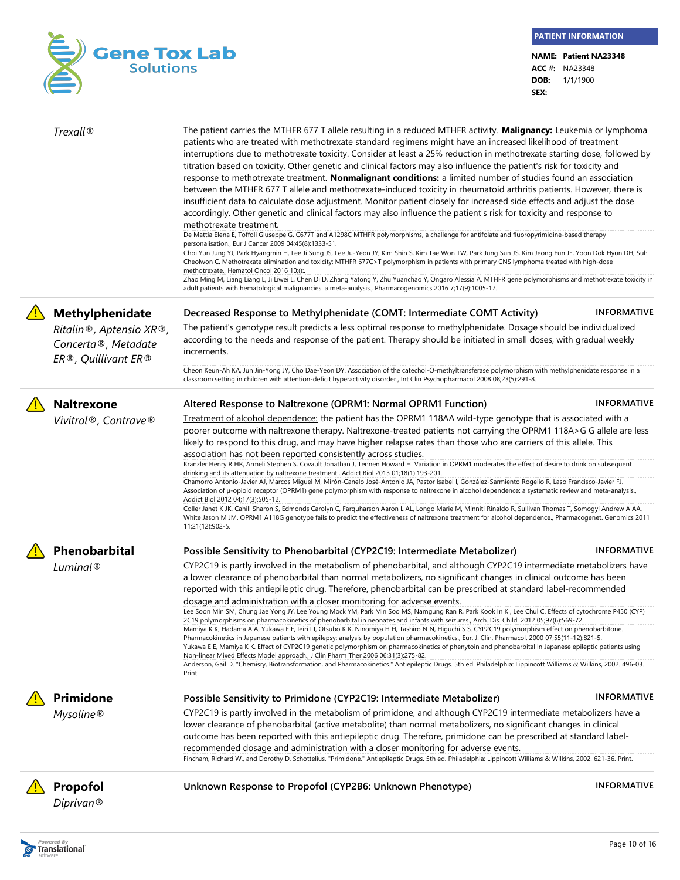| <b>Gene Tox Lab</b><br><b>Solutions</b> |
|-----------------------------------------|
|-----------------------------------------|

|            | <b>Trexall®</b>                                                       | The patient carries the MTHFR 677 T allele resulting in a reduced MTHFR activity. Malignancy: Leukemia or lymphoma<br>patients who are treated with methotrexate standard regimens might have an increased likelihood of treatment<br>interruptions due to methotrexate toxicity. Consider at least a 25% reduction in methotrexate starting dose, followed by<br>titration based on toxicity. Other genetic and clinical factors may also influence the patient's risk for toxicity and<br>response to methotrexate treatment. <b>Nonmalignant conditions:</b> a limited number of studies found an association<br>between the MTHFR 677 T allele and methotrexate-induced toxicity in rheumatoid arthritis patients. However, there is<br>insufficient data to calculate dose adjustment. Monitor patient closely for increased side effects and adjust the dose<br>accordingly. Other genetic and clinical factors may also influence the patient's risk for toxicity and response to<br>methotrexate treatment.                                                                                                                                                                                                                                                                                                                                                                                                                                                        |                    |
|------------|-----------------------------------------------------------------------|----------------------------------------------------------------------------------------------------------------------------------------------------------------------------------------------------------------------------------------------------------------------------------------------------------------------------------------------------------------------------------------------------------------------------------------------------------------------------------------------------------------------------------------------------------------------------------------------------------------------------------------------------------------------------------------------------------------------------------------------------------------------------------------------------------------------------------------------------------------------------------------------------------------------------------------------------------------------------------------------------------------------------------------------------------------------------------------------------------------------------------------------------------------------------------------------------------------------------------------------------------------------------------------------------------------------------------------------------------------------------------------------------------------------------------------------------------------------------|--------------------|
|            |                                                                       | De Mattia Elena E, Toffoli Giuseppe G. C677T and A1298C MTHFR polymorphisms, a challenge for antifolate and fluoropyrimidine-based therapy<br>personalisation., Eur J Cancer 2009 04;45(8):1333-51.<br>Choi Yun Jung YJ, Park Hyangmin H, Lee Ji Sung JS, Lee Ju-Yeon JY, Kim Shin S, Kim Tae Won TW, Park Jung Sun JS, Kim Jeong Eun JE, Yoon Dok Hyun DH, Suh<br>Cheolwon C. Methotrexate elimination and toxicity: MTHFR 677C>T polymorphism in patients with primary CNS lymphoma treated with high-dose<br>methotrexate., Hematol Oncol 2016 10;():.<br>Zhao Ming M, Liang Liang L, Ji Liwei L, Chen Di D, Zhang Yatong Y, Zhu Yuanchao Y, Ongaro Alessia A. MTHFR gene polymorphisms and methotrexate toxicity in<br>adult patients with hematological malignancies: a meta-analysis., Pharmacogenomics 2016 7;17(9):1005-17.                                                                                                                                                                                                                                                                                                                                                                                                                                                                                                                                                                                                                                        |                    |
| $\sqrt{1}$ | <b>Methylphenidate</b>                                                | Decreased Response to Methylphenidate (COMT: Intermediate COMT Activity)                                                                                                                                                                                                                                                                                                                                                                                                                                                                                                                                                                                                                                                                                                                                                                                                                                                                                                                                                                                                                                                                                                                                                                                                                                                                                                                                                                                                   | <b>INFORMATIVE</b> |
|            | Ritalin®, Aptensio XR®,<br>Concerta®, Metadate<br>ER®, Quillivant ER® | The patient's genotype result predicts a less optimal response to methylphenidate. Dosage should be individualized<br>according to the needs and response of the patient. Therapy should be initiated in small doses, with gradual weekly<br>increments.                                                                                                                                                                                                                                                                                                                                                                                                                                                                                                                                                                                                                                                                                                                                                                                                                                                                                                                                                                                                                                                                                                                                                                                                                   |                    |
|            |                                                                       | Cheon Keun-Ah KA, Jun Jin-Yong JY, Cho Dae-Yeon DY. Association of the catechol-O-methyltransferase polymorphism with methylphenidate response in a<br>classroom setting in children with attention-deficit hyperactivity disorder., Int Clin Psychopharmacol 2008 08;23(5):291-8.                                                                                                                                                                                                                                                                                                                                                                                                                                                                                                                                                                                                                                                                                                                                                                                                                                                                                                                                                                                                                                                                                                                                                                                         |                    |
| <u>/ \</u> | <b>Naltrexone</b>                                                     | Altered Response to Naltrexone (OPRM1: Normal OPRM1 Function)                                                                                                                                                                                                                                                                                                                                                                                                                                                                                                                                                                                                                                                                                                                                                                                                                                                                                                                                                                                                                                                                                                                                                                                                                                                                                                                                                                                                              | <b>INFORMATIVE</b> |
|            | Vivitrol®, Contrave®                                                  | Treatment of alcohol dependence: the patient has the OPRM1 118AA wild-type genotype that is associated with a<br>poorer outcome with naltrexone therapy. Naltrexone-treated patients not carrying the OPRM1 118A>G G allele are less<br>likely to respond to this drug, and may have higher relapse rates than those who are carriers of this allele. This<br>association has not been reported consistently across studies.<br>Kranzler Henry R HR, Armeli Stephen S, Covault Jonathan J, Tennen Howard H. Variation in OPRM1 moderates the effect of desire to drink on subsequent<br>drinking and its attenuation by naltrexone treatment., Addict Biol 2013 01;18(1):193-201.<br>Chamorro Antonio-Javier AJ, Marcos Miguel M, Mirón-Canelo José-Antonio JA, Pastor Isabel I, González-Sarmiento Rogelio R, Laso Francisco-Javier FJ.<br>Association of µ-opioid receptor (OPRM1) gene polymorphism with response to naltrexone in alcohol dependence: a systematic review and meta-analysis.,<br>Addict Biol 2012 04;17(3):505-12.<br>Coller Janet K JK, Cahill Sharon S, Edmonds Carolyn C, Farquharson Aaron L AL, Longo Marie M, Minniti Rinaldo R, Sullivan Thomas T, Somogyi Andrew A AA,<br>White Jason M JM. OPRM1 A118G genotype fails to predict the effectiveness of naltrexone treatment for alcohol dependence., Pharmacogenet. Genomics 2011<br>11;21(12):902-5.                                                                                          |                    |
| <u>/ \</u> | Phenobarbital                                                         | Possible Sensitivity to Phenobarbital (CYP2C19: Intermediate Metabolizer)                                                                                                                                                                                                                                                                                                                                                                                                                                                                                                                                                                                                                                                                                                                                                                                                                                                                                                                                                                                                                                                                                                                                                                                                                                                                                                                                                                                                  | <b>INFORMATIVE</b> |
|            | Luminal®                                                              | CYP2C19 is partly involved in the metabolism of phenobarbital, and although CYP2C19 intermediate metabolizers have<br>a lower clearance of phenobarbital than normal metabolizers, no significant changes in clinical outcome has been<br>reported with this antiepileptic drug. Therefore, phenobarbital can be prescribed at standard label-recommended<br>dosage and administration with a closer monitoring for adverse events.<br>Lee Soon Min SM, Chung Jae Yong JY, Lee Young Mock YM, Park Min Soo MS, Namgung Ran R, Park Kook In KI, Lee Chul C. Effects of cytochrome P450 (CYP)<br>2C19 polymorphisms on pharmacokinetics of phenobarbital in neonates and infants with seizures., Arch. Dis. Child. 2012 05;97(6):569-72.<br>Mamiya K K, Hadama A A, Yukawa E E, Ieiri I I, Otsubo K K, Ninomiya H H, Tashiro N N, Higuchi S S. CYP2C19 polymorphism effect on phenobarbitone.<br>Pharmacokinetics in Japanese patients with epilepsy: analysis by population pharmacokinetics., Eur. J. Clin. Pharmacol. 2000 07;55(11-12):821-5.<br>Yukawa E E, Mamiya K K. Effect of CYP2C19 genetic polymorphism on pharmacokinetics of phenytoin and phenobarbital in Japanese epileptic patients using<br>Non-linear Mixed Effects Model approach., J Clin Pharm Ther 2006 06;31(3):275-82.<br>Anderson, Gail D. "Chemisry, Biotransformation, and Pharmacokinetics." Antiepileptic Drugs. 5th ed. Philadelphia: Lippincott Williams & Wilkins, 2002. 496-03.<br>Print. |                    |
| <u>/ \</u> | <b>Primidone</b>                                                      | Possible Sensitivity to Primidone (CYP2C19: Intermediate Metabolizer)                                                                                                                                                                                                                                                                                                                                                                                                                                                                                                                                                                                                                                                                                                                                                                                                                                                                                                                                                                                                                                                                                                                                                                                                                                                                                                                                                                                                      | <b>INFORMATIVE</b> |
|            | Mysoline®                                                             | CYP2C19 is partly involved in the metabolism of primidone, and although CYP2C19 intermediate metabolizers have a<br>lower clearance of phenobarbital (active metabolite) than normal metabolizers, no significant changes in clinical<br>outcome has been reported with this antiepileptic drug. Therefore, primidone can be prescribed at standard label-<br>recommended dosage and administration with a closer monitoring for adverse events.<br>Fincham, Richard W., and Dorothy D. Schottelius. "Primidone." Antiepileptic Drugs. 5th ed. Philadelphia: Lippincott Williams & Wilkins, 2002. 621-36. Print.                                                                                                                                                                                                                                                                                                                                                                                                                                                                                                                                                                                                                                                                                                                                                                                                                                                           |                    |
| <u>/!\</u> | Propofol<br>Diprivan <sup>®</sup>                                     | Unknown Response to Propofol (CYP2B6: Unknown Phenotype)                                                                                                                                                                                                                                                                                                                                                                                                                                                                                                                                                                                                                                                                                                                                                                                                                                                                                                                                                                                                                                                                                                                                                                                                                                                                                                                                                                                                                   | <b>INFORMATIVE</b> |

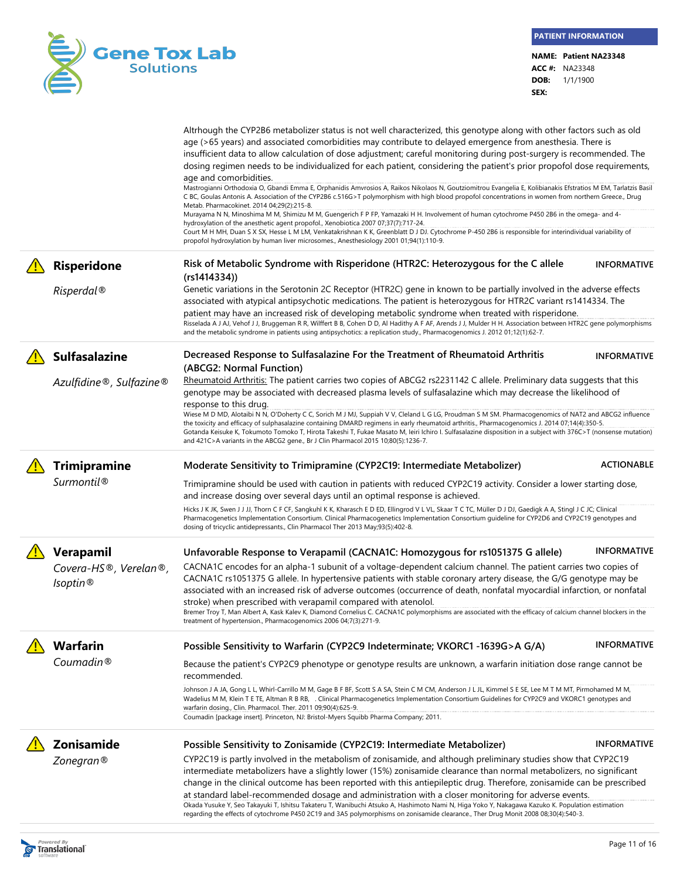|                                                               |                                                                                                                                                                                                                                                                                                                                                                                                                                                                                                                                                                                                                                                                                                                                                                                                                                                                                                                                                                                                                                                                                                                                                                                                                                                                                                                                                                                 | <b>PATIENT INFORMATION</b>                                        |
|---------------------------------------------------------------|---------------------------------------------------------------------------------------------------------------------------------------------------------------------------------------------------------------------------------------------------------------------------------------------------------------------------------------------------------------------------------------------------------------------------------------------------------------------------------------------------------------------------------------------------------------------------------------------------------------------------------------------------------------------------------------------------------------------------------------------------------------------------------------------------------------------------------------------------------------------------------------------------------------------------------------------------------------------------------------------------------------------------------------------------------------------------------------------------------------------------------------------------------------------------------------------------------------------------------------------------------------------------------------------------------------------------------------------------------------------------------|-------------------------------------------------------------------|
| $\bar{\mathbf{z}}$<br><b>Gene Tox Lab</b><br><b>Solutions</b> | DOB:<br>SEX:                                                                                                                                                                                                                                                                                                                                                                                                                                                                                                                                                                                                                                                                                                                                                                                                                                                                                                                                                                                                                                                                                                                                                                                                                                                                                                                                                                    | <b>NAME: Patient NA23348</b><br><b>ACC #: NA23348</b><br>1/1/1900 |
|                                                               | Altrhough the CYP2B6 metabolizer status is not well characterized, this genotype along with other factors such as old<br>age (>65 years) and associated comorbidities may contribute to delayed emergence from anesthesia. There is<br>insufficient data to allow calculation of dose adjustment; careful monitoring during post-surgery is recommended. The<br>dosing regimen needs to be individualized for each patient, considering the patient's prior propofol dose requirements,<br>age and comorbidities.<br>Mastrogianni Orthodoxia O, Gbandi Emma E, Orphanidis Amvrosios A, Raikos Nikolaos N, Goutziomitrou Evangelia E, Kolibianakis Efstratios M EM, Tarlatzis Basil<br>C BC, Goulas Antonis A. Association of the CYP2B6 c.516G>T polymorphism with high blood propofol concentrations in women from northern Greece., Drug<br>Metab. Pharmacokinet. 2014 04;29(2):215-8.<br>Murayama N N, Minoshima M M, Shimizu M M, Guengerich F P FP, Yamazaki H H. Involvement of human cytochrome P450 2B6 in the omega- and 4-<br>hydroxylation of the anesthetic agent propofol., Xenobiotica 2007 07;37(7):717-24.<br>Court M H MH, Duan S X SX, Hesse L M LM, Venkatakrishnan K K, Greenblatt D J DJ. Cytochrome P-450 2B6 is responsible for interindividual variability of<br>propofol hydroxylation by human liver microsomes., Anesthesiology 2001 01;94(1):110-9. |                                                                   |
| <b>Risperidone</b>                                            | Risk of Metabolic Syndrome with Risperidone (HTR2C: Heterozygous for the C allele<br>(rs1414334))                                                                                                                                                                                                                                                                                                                                                                                                                                                                                                                                                                                                                                                                                                                                                                                                                                                                                                                                                                                                                                                                                                                                                                                                                                                                               | <b>INFORMATIVE</b>                                                |
| <b>Risperdal®</b>                                             | Genetic variations in the Serotonin 2C Receptor (HTR2C) gene in known to be partially involved in the adverse effects<br>associated with atypical antipsychotic medications. The patient is heterozygous for HTR2C variant rs1414334. The<br>patient may have an increased risk of developing metabolic syndrome when treated with risperidone.<br>Risselada A J AJ, Vehof J J, Bruggeman R R, Wilffert B B, Cohen D D, Al Hadithy A F AF, Arends J J, Mulder H H. Association between HTR2C gene polymorphisms<br>and the metabolic syndrome in patients using antipsychotics: a replication study., Pharmacogenomics J. 2012 01;12(1):62-7.                                                                                                                                                                                                                                                                                                                                                                                                                                                                                                                                                                                                                                                                                                                                   |                                                                   |
| <b>Sulfasalazine</b>                                          | Decreased Response to Sulfasalazine For the Treatment of Rheumatoid Arthritis                                                                                                                                                                                                                                                                                                                                                                                                                                                                                                                                                                                                                                                                                                                                                                                                                                                                                                                                                                                                                                                                                                                                                                                                                                                                                                   | <b>INFORMATIVE</b>                                                |
| Azulfidine®, Sulfazine®                                       | (ABCG2: Normal Function)<br>Rheumatoid Arthritis: The patient carries two copies of ABCG2 rs2231142 C allele. Preliminary data suggests that this<br>genotype may be associated with decreased plasma levels of sulfasalazine which may decrease the likelihood of<br>response to this drug.<br>Wiese M D MD, Alotaibi N N, O'Doherty C C, Sorich M J MJ, Suppiah V V, Cleland L G LG, Proudman S M SM. Pharmacogenomics of NAT2 and ABCG2 influence<br>the toxicity and efficacy of sulphasalazine containing DMARD regimens in early rheumatoid arthritis., Pharmacogenomics J. 2014 07;14(4):350-5.<br>Gotanda Keisuke K, Tokumoto Tomoko T, Hirota Takeshi T, Fukae Masato M, leiri Ichiro I. Sulfasalazine disposition in a subject with 376C>T (nonsense mutation)<br>and 421C>A variants in the ABCG2 gene., Br J Clin Pharmacol 2015 10;80(5):1236-7.                                                                                                                                                                                                                                                                                                                                                                                                                                                                                                                   |                                                                   |
| <b>Trimipramine</b>                                           | Moderate Sensitivity to Trimipramine (CYP2C19: Intermediate Metabolizer)                                                                                                                                                                                                                                                                                                                                                                                                                                                                                                                                                                                                                                                                                                                                                                                                                                                                                                                                                                                                                                                                                                                                                                                                                                                                                                        | <b>ACTIONABLE</b>                                                 |
| <b>Surmontil®</b>                                             | Trimipramine should be used with caution in patients with reduced CYP2C19 activity. Consider a lower starting dose,<br>and increase dosing over several days until an optimal response is achieved.                                                                                                                                                                                                                                                                                                                                                                                                                                                                                                                                                                                                                                                                                                                                                                                                                                                                                                                                                                                                                                                                                                                                                                             |                                                                   |
|                                                               | Hicks J K JK, Swen J J JJ, Thorn C F CF, Sangkuhl K K, Kharasch E D ED, Ellingrod V L VL, Skaar T C TC, Müller D J DJ, Gaedigk A A, Stingl J C JC; Clinical<br>Pharmacogenetics Implementation Consortium. Clinical Pharmacogenetics Implementation Consortium guideline for CYP2D6 and CYP2C19 genotypes and<br>dosing of tricyclic antidepressants., Clin Pharmacol Ther 2013 May;93(5):402-8.                                                                                                                                                                                                                                                                                                                                                                                                                                                                                                                                                                                                                                                                                                                                                                                                                                                                                                                                                                                |                                                                   |
| Verapamil                                                     | Unfavorable Response to Verapamil (CACNA1C: Homozygous for rs1051375 G allele)                                                                                                                                                                                                                                                                                                                                                                                                                                                                                                                                                                                                                                                                                                                                                                                                                                                                                                                                                                                                                                                                                                                                                                                                                                                                                                  | <b>INFORMATIVE</b>                                                |
| Covera-HS®, Verelan®,<br>Isoptin <sup>®</sup>                 | CACNA1C encodes for an alpha-1 subunit of a voltage-dependent calcium channel. The patient carries two copies of<br>CACNA1C rs1051375 G allele. In hypertensive patients with stable coronary artery disease, the G/G genotype may be<br>associated with an increased risk of adverse outcomes (occurrence of death, nonfatal myocardial infarction, or nonfatal<br>stroke) when prescribed with verapamil compared with atenolol.<br>Bremer Troy T, Man Albert A, Kask Kalev K, Diamond Cornelius C. CACNA1C polymorphisms are associated with the efficacy of calcium channel blockers in the<br>treatment of hypertension., Pharmacogenomics 2006 04;7(3):271-9.                                                                                                                                                                                                                                                                                                                                                                                                                                                                                                                                                                                                                                                                                                             |                                                                   |
| <b>Warfarin</b>                                               | Possible Sensitivity to Warfarin (CYP2C9 Indeterminate; VKORC1 -1639G>A G/A)                                                                                                                                                                                                                                                                                                                                                                                                                                                                                                                                                                                                                                                                                                                                                                                                                                                                                                                                                                                                                                                                                                                                                                                                                                                                                                    | <b>INFORMATIVE</b>                                                |
| Coumadin®                                                     | Because the patient's CYP2C9 phenotype or genotype results are unknown, a warfarin initiation dose range cannot be<br>recommended.                                                                                                                                                                                                                                                                                                                                                                                                                                                                                                                                                                                                                                                                                                                                                                                                                                                                                                                                                                                                                                                                                                                                                                                                                                              |                                                                   |
|                                                               | Johnson J A JA, Gong L L, Whirl-Carrillo M M, Gage B F BF, Scott S A SA, Stein C M CM, Anderson J L JL, Kimmel S E SE, Lee M T M MT, Pirmohamed M M,<br>Wadelius M M, Klein T E TE, Altman R B RB, . Clinical Pharmacogenetics Implementation Consortium Guidelines for CYP2C9 and VKORC1 genotypes and<br>warfarin dosing., Clin. Pharmacol. Ther. 2011 09;90(4):625-9.<br>Coumadin [package insert]. Princeton, NJ: Bristol-Myers Squibb Pharma Company; 2011.                                                                                                                                                                                                                                                                                                                                                                                                                                                                                                                                                                                                                                                                                                                                                                                                                                                                                                                |                                                                   |
| Zonisamide                                                    | Possible Sensitivity to Zonisamide (CYP2C19: Intermediate Metabolizer)                                                                                                                                                                                                                                                                                                                                                                                                                                                                                                                                                                                                                                                                                                                                                                                                                                                                                                                                                                                                                                                                                                                                                                                                                                                                                                          | <b>INFORMATIVE</b>                                                |
| Zonegran®                                                     | CYP2C19 is partly involved in the metabolism of zonisamide, and although preliminary studies show that CYP2C19<br>intermediate metabolizers have a slightly lower (15%) zonisamide clearance than normal metabolizers, no significant<br>change in the clinical outcome has been reported with this antiepileptic drug. Therefore, zonisamide can be prescribed<br>at standard label-recommended dosage and administration with a closer monitoring for adverse events.<br>Okada Yusuke Y, Seo Takayuki T, Ishitsu Takateru T, Wanibuchi Atsuko A, Hashimoto Nami N, Higa Yoko Y, Nakagawa Kazuko K. Population estimation<br>regarding the effects of cytochrome P450 2C19 and 3A5 polymorphisms on zonisamide clearance., Ther Drug Monit 2008 08;30(4):540-3.                                                                                                                                                                                                                                                                                                                                                                                                                                                                                                                                                                                                                |                                                                   |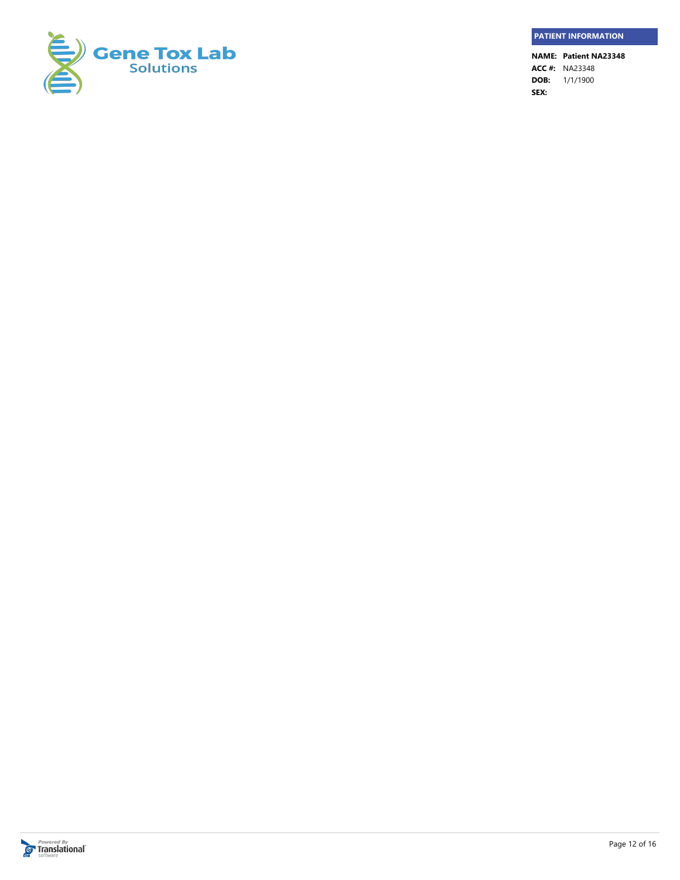**PATIENT INFORMATION**



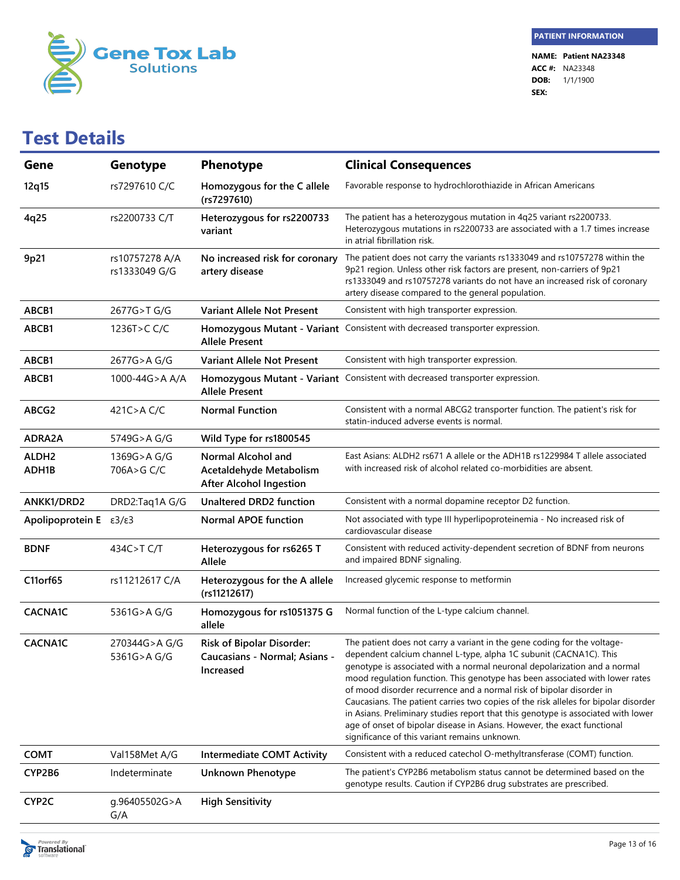

## **Test Details**

| Gene                                    | Genotype                        | <b>Phenotype</b>                                                                      | <b>Clinical Consequences</b>                                                                                                                                                                                                                                                                                                                                                                                                                                                                                                                                                                                                                                                                 |
|-----------------------------------------|---------------------------------|---------------------------------------------------------------------------------------|----------------------------------------------------------------------------------------------------------------------------------------------------------------------------------------------------------------------------------------------------------------------------------------------------------------------------------------------------------------------------------------------------------------------------------------------------------------------------------------------------------------------------------------------------------------------------------------------------------------------------------------------------------------------------------------------|
| 12q15                                   | rs7297610 C/C                   | Homozygous for the C allele<br>(rs7297610)                                            | Favorable response to hydrochlorothiazide in African Americans                                                                                                                                                                                                                                                                                                                                                                                                                                                                                                                                                                                                                               |
| 4q25                                    | rs2200733 C/T                   | Heterozygous for rs2200733<br>variant                                                 | The patient has a heterozygous mutation in 4q25 variant rs2200733.<br>Heterozygous mutations in rs2200733 are associated with a 1.7 times increase<br>in atrial fibrillation risk.                                                                                                                                                                                                                                                                                                                                                                                                                                                                                                           |
| 9p21                                    | rs10757278 A/A<br>rs1333049 G/G | No increased risk for coronary<br>artery disease                                      | The patient does not carry the variants rs1333049 and rs10757278 within the<br>9p21 region. Unless other risk factors are present, non-carriers of 9p21<br>rs1333049 and rs10757278 variants do not have an increased risk of coronary<br>artery disease compared to the general population.                                                                                                                                                                                                                                                                                                                                                                                                 |
| ABCB1                                   | 2677G>T G/G                     | <b>Variant Allele Not Present</b>                                                     | Consistent with high transporter expression.                                                                                                                                                                                                                                                                                                                                                                                                                                                                                                                                                                                                                                                 |
| ABCB1                                   | 1236T>C C/C                     | <b>Allele Present</b>                                                                 | Homozygous Mutant - Variant Consistent with decreased transporter expression.                                                                                                                                                                                                                                                                                                                                                                                                                                                                                                                                                                                                                |
| ABCB1                                   | 2677G>A G/G                     | <b>Variant Allele Not Present</b>                                                     | Consistent with high transporter expression.                                                                                                                                                                                                                                                                                                                                                                                                                                                                                                                                                                                                                                                 |
| ABCB1                                   | 1000-44G>A A/A                  | <b>Allele Present</b>                                                                 | Homozygous Mutant - Variant Consistent with decreased transporter expression.                                                                                                                                                                                                                                                                                                                                                                                                                                                                                                                                                                                                                |
| ABCG <sub>2</sub>                       | 421C>AC/C                       | <b>Normal Function</b>                                                                | Consistent with a normal ABCG2 transporter function. The patient's risk for<br>statin-induced adverse events is normal.                                                                                                                                                                                                                                                                                                                                                                                                                                                                                                                                                                      |
| ADRA2A                                  | 5749G>A G/G                     | Wild Type for rs1800545                                                               |                                                                                                                                                                                                                                                                                                                                                                                                                                                                                                                                                                                                                                                                                              |
| ALDH <sub>2</sub><br>ADH <sub>1</sub> B | 1369G>A G/G<br>706A>G C/C       | Normal Alcohol and<br>Acetaldehyde Metabolism<br><b>After Alcohol Ingestion</b>       | East Asians: ALDH2 rs671 A allele or the ADH1B rs1229984 T allele associated<br>with increased risk of alcohol related co-morbidities are absent.                                                                                                                                                                                                                                                                                                                                                                                                                                                                                                                                            |
| ANKK1/DRD2                              | DRD2:Taq1A G/G                  | <b>Unaltered DRD2 function</b>                                                        | Consistent with a normal dopamine receptor D2 function.                                                                                                                                                                                                                                                                                                                                                                                                                                                                                                                                                                                                                                      |
| Apolipoprotein E ε3/ε3                  |                                 | <b>Normal APOE function</b>                                                           | Not associated with type III hyperlipoproteinemia - No increased risk of<br>cardiovascular disease                                                                                                                                                                                                                                                                                                                                                                                                                                                                                                                                                                                           |
| <b>BDNF</b>                             | 434C>T C/T                      | Heterozygous for rs6265 T<br>Allele                                                   | Consistent with reduced activity-dependent secretion of BDNF from neurons<br>and impaired BDNF signaling.                                                                                                                                                                                                                                                                                                                                                                                                                                                                                                                                                                                    |
| C11orf65                                | rs11212617 C/A                  | Heterozygous for the A allele<br>(rs11212617)                                         | Increased glycemic response to metformin                                                                                                                                                                                                                                                                                                                                                                                                                                                                                                                                                                                                                                                     |
| <b>CACNA1C</b>                          | 5361G>A G/G                     | Homozygous for rs1051375 G<br>allele                                                  | Normal function of the L-type calcium channel.                                                                                                                                                                                                                                                                                                                                                                                                                                                                                                                                                                                                                                               |
| <b>CACNA1C</b>                          | 270344G>A G/G<br>5361G>A G/G    | <b>Risk of Bipolar Disorder:</b><br><b>Caucasians - Normal; Asians -</b><br>Increased | The patient does not carry a variant in the gene coding for the voltage-<br>dependent calcium channel L-type, alpha 1C subunit (CACNA1C). This<br>genotype is associated with a normal neuronal depolarization and a normal<br>mood regulation function. This genotype has been associated with lower rates<br>of mood disorder recurrence and a normal risk of bipolar disorder in<br>Caucasians. The patient carries two copies of the risk alleles for bipolar disorder<br>in Asians. Preliminary studies report that this genotype is associated with lower<br>age of onset of bipolar disease in Asians. However, the exact functional<br>significance of this variant remains unknown. |
| <b>COMT</b>                             | Val158Met A/G                   | <b>Intermediate COMT Activity</b>                                                     | Consistent with a reduced catechol O-methyltransferase (COMT) function.                                                                                                                                                                                                                                                                                                                                                                                                                                                                                                                                                                                                                      |
| CYP2B6                                  | Indeterminate                   | <b>Unknown Phenotype</b>                                                              | The patient's CYP2B6 metabolism status cannot be determined based on the<br>genotype results. Caution if CYP2B6 drug substrates are prescribed.                                                                                                                                                                                                                                                                                                                                                                                                                                                                                                                                              |
| CYP2C                                   | g.96405502G>A<br>G/A            | <b>High Sensitivity</b>                                                               |                                                                                                                                                                                                                                                                                                                                                                                                                                                                                                                                                                                                                                                                                              |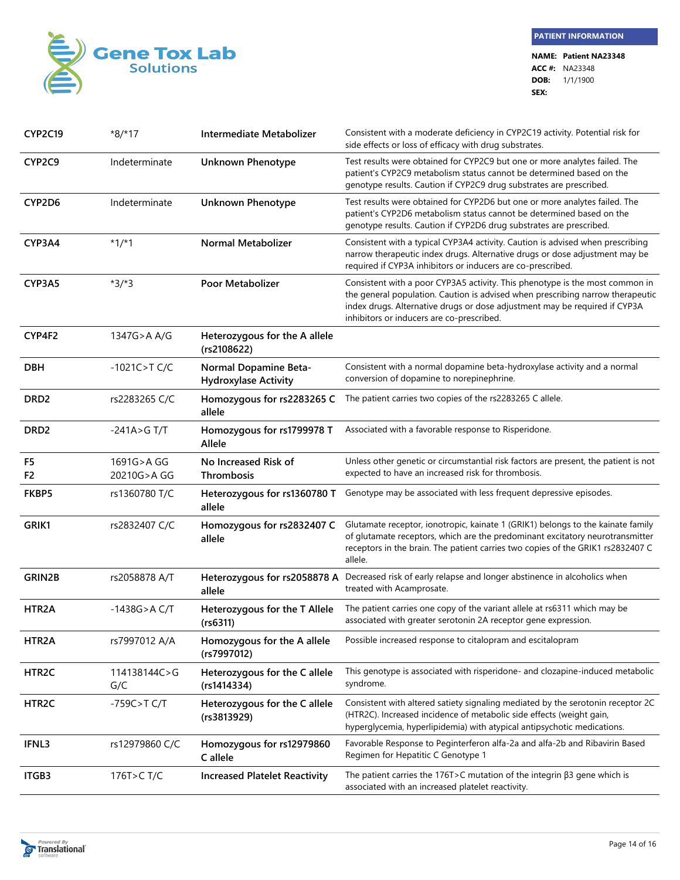

| CYP <sub>2</sub> C <sub>19</sub> | *8/*17                   | Intermediate Metabolizer                             | Consistent with a moderate deficiency in CYP2C19 activity. Potential risk for<br>side effects or loss of efficacy with drug substrates.                                                                                                                                                   |  |
|----------------------------------|--------------------------|------------------------------------------------------|-------------------------------------------------------------------------------------------------------------------------------------------------------------------------------------------------------------------------------------------------------------------------------------------|--|
| CYP2C9                           | Indeterminate            | <b>Unknown Phenotype</b>                             | Test results were obtained for CYP2C9 but one or more analytes failed. The<br>patient's CYP2C9 metabolism status cannot be determined based on the<br>genotype results. Caution if CYP2C9 drug substrates are prescribed.                                                                 |  |
| CYP2D6                           | Indeterminate            | <b>Unknown Phenotype</b>                             | Test results were obtained for CYP2D6 but one or more analytes failed. The<br>patient's CYP2D6 metabolism status cannot be determined based on the<br>genotype results. Caution if CYP2D6 drug substrates are prescribed.                                                                 |  |
| CYP3A4                           | $*1/*1$                  | <b>Normal Metabolizer</b>                            | Consistent with a typical CYP3A4 activity. Caution is advised when prescribing<br>narrow therapeutic index drugs. Alternative drugs or dose adjustment may be<br>required if CYP3A inhibitors or inducers are co-prescribed.                                                              |  |
| CYP3A5                           | $*3/*3$                  | Poor Metabolizer                                     | Consistent with a poor CYP3A5 activity. This phenotype is the most common in<br>the general population. Caution is advised when prescribing narrow therapeutic<br>index drugs. Alternative drugs or dose adjustment may be required if CYP3A<br>inhibitors or inducers are co-prescribed. |  |
| CYP4F2                           | 1347G>A A/G              | Heterozygous for the A allele<br>(rs2108622)         |                                                                                                                                                                                                                                                                                           |  |
| <b>DBH</b>                       | $-1021C > T C/C$         | Normal Dopamine Beta-<br><b>Hydroxylase Activity</b> | Consistent with a normal dopamine beta-hydroxylase activity and a normal<br>conversion of dopamine to norepinephrine.                                                                                                                                                                     |  |
| DRD <sub>2</sub>                 | rs2283265 C/C            | Homozygous for rs2283265 C<br>allele                 | The patient carries two copies of the rs2283265 C allele.                                                                                                                                                                                                                                 |  |
| DRD <sub>2</sub>                 | $-241A > G T/T$          | Homozygous for rs1799978 T<br>Allele                 | Associated with a favorable response to Risperidone.                                                                                                                                                                                                                                      |  |
| F5<br>F2                         | 1691G>A GG<br>20210G>AGG | No Increased Risk of<br>Thrombosis                   | Unless other genetic or circumstantial risk factors are present, the patient is not<br>expected to have an increased risk for thrombosis.                                                                                                                                                 |  |
| FKBP5                            | rs1360780 T/C            | Heterozygous for rs1360780 T<br>allele               | Genotype may be associated with less frequent depressive episodes.                                                                                                                                                                                                                        |  |
| GRIK1                            | rs2832407 C/C            | Homozygous for rs2832407 C<br>allele                 | Glutamate receptor, ionotropic, kainate 1 (GRIK1) belongs to the kainate family<br>of glutamate receptors, which are the predominant excitatory neurotransmitter<br>receptors in the brain. The patient carries two copies of the GRIK1 rs2832407 C<br>allele.                            |  |
| GRIN2B                           | rs2058878 A/T            | Heterozygous for rs2058878 A<br>allele               | Decreased risk of early relapse and longer abstinence in alcoholics when<br>treated with Acamprosate.                                                                                                                                                                                     |  |
| HTR2A                            | $-1438G > A C/T$         | Heterozygous for the T Allele<br>(rs6311)            | The patient carries one copy of the variant allele at rs6311 which may be<br>associated with greater serotonin 2A receptor gene expression.                                                                                                                                               |  |
| HTR <sub>2</sub> A               | rs7997012 A/A            | Homozygous for the A allele<br>(rs7997012)           | Possible increased response to citalopram and escitalopram                                                                                                                                                                                                                                |  |
| HTR <sub>2</sub> C               | 114138144C>G<br>G/C      | Heterozygous for the C allele<br>(rs1414334)         | This genotype is associated with risperidone- and clozapine-induced metabolic<br>syndrome.                                                                                                                                                                                                |  |
| HTR <sub>2</sub> C               | $-759C > T C/T$          | Heterozygous for the C allele<br>(rs3813929)         | Consistent with altered satiety signaling mediated by the serotonin receptor 2C<br>(HTR2C). Increased incidence of metabolic side effects (weight gain,<br>hyperglycemia, hyperlipidemia) with atypical antipsychotic medications.                                                        |  |
| IFNL3                            | rs12979860 C/C           | Homozygous for rs12979860<br>C allele                | Favorable Response to Peginterferon alfa-2a and alfa-2b and Ribavirin Based<br>Regimen for Hepatitic C Genotype 1                                                                                                                                                                         |  |
| ITGB3                            | 176T>C T/C               | <b>Increased Platelet Reactivity</b>                 | The patient carries the 176T>C mutation of the integrin $\beta$ 3 gene which is<br>associated with an increased platelet reactivity.                                                                                                                                                      |  |

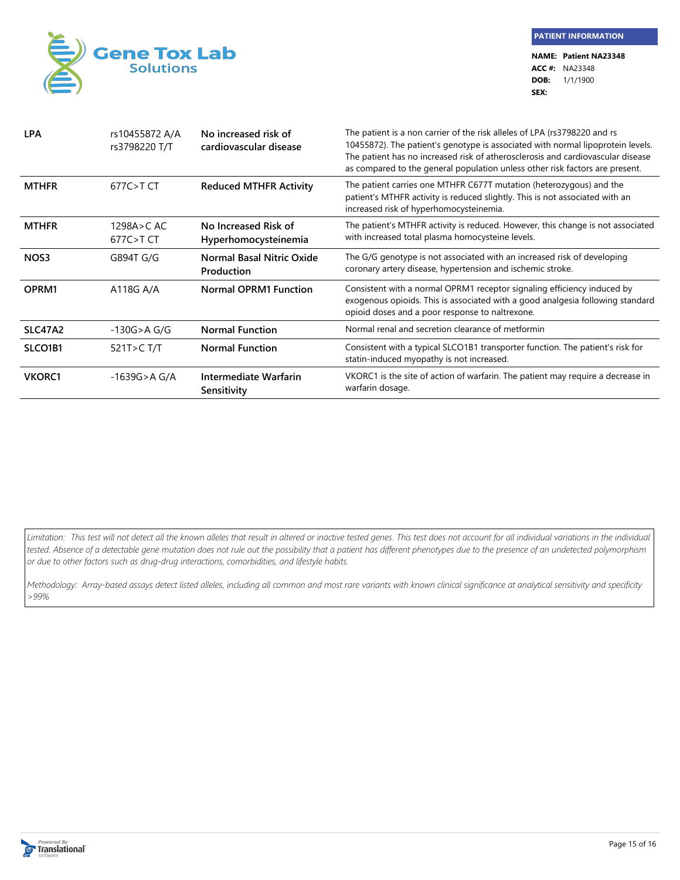

| <b>LPA</b>     | rs10455872 A/A<br>rs3798220 T/T | No increased risk of<br>cardiovascular disease | The patient is a non carrier of the risk alleles of LPA (rs3798220 and rs<br>10455872). The patient's genotype is associated with normal lipoprotein levels.<br>The patient has no increased risk of atherosclerosis and cardiovascular disease<br>as compared to the general population unless other risk factors are present. |  |
|----------------|---------------------------------|------------------------------------------------|---------------------------------------------------------------------------------------------------------------------------------------------------------------------------------------------------------------------------------------------------------------------------------------------------------------------------------|--|
| <b>MTHFR</b>   | 677C > TCT                      | <b>Reduced MTHFR Activity</b>                  | The patient carries one MTHFR C677T mutation (heterozyqous) and the<br>patient's MTHFR activity is reduced slightly. This is not associated with an<br>increased risk of hyperhomocysteinemia.                                                                                                                                  |  |
| <b>MTHFR</b>   | 1298A>C AC<br>677C > TCT        | No Increased Risk of<br>Hyperhomocysteinemia   | The patient's MTHFR activity is reduced. However, this change is not associated<br>with increased total plasma homocysteine levels.                                                                                                                                                                                             |  |
| NOS3           | G894T G/G                       | <b>Normal Basal Nitric Oxide</b><br>Production | The G/G genotype is not associated with an increased risk of developing<br>coronary artery disease, hypertension and ischemic stroke.                                                                                                                                                                                           |  |
| OPRM1          | A118G A/A                       | <b>Normal OPRM1 Function</b>                   | Consistent with a normal OPRM1 receptor signaling efficiency induced by<br>exogenous opioids. This is associated with a good analgesia following standard<br>opioid doses and a poor response to naltrexone.                                                                                                                    |  |
| <b>SLC47A2</b> | $-130G$ > A $G/G$               | <b>Normal Function</b>                         | Normal renal and secretion clearance of metformin                                                                                                                                                                                                                                                                               |  |
| SLCO1B1        | 521T>CT/T                       | <b>Normal Function</b>                         | Consistent with a typical SLCO1B1 transporter function. The patient's risk for<br>statin-induced myopathy is not increased.                                                                                                                                                                                                     |  |
| <b>VKORC1</b>  | -1639G>A G/A                    | Intermediate Warfarin<br>Sensitivity           | VKORC1 is the site of action of warfarin. The patient may require a decrease in<br>warfarin dosage.                                                                                                                                                                                                                             |  |

Limitation: This test will not detect all the known alleles that result in altered or inactive tested genes. This test does not account for all individual variations in the individual *tested. Absence of a detectable gene mutation does not rule out the possibility that a patient has different phenotypes due to the presence of an undetected polymorphism or due to other factors such as drug-drug interactions, comorbidities, and lifestyle habits.*

*Methodology: Array-based assays detect listed alleles, including all common and most rare variants with known clinical significance at analytical sensitivity and specificity >99%*